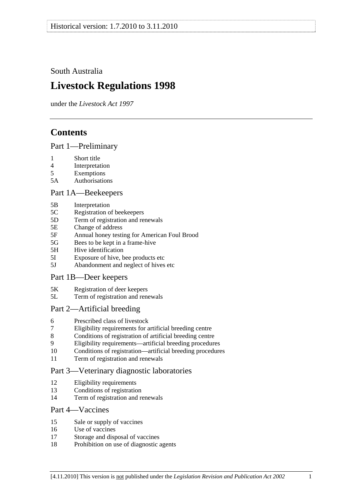<span id="page-0-0"></span>South Australia

# **Livestock Regulations 1998**

under the *Livestock Act 1997*

# **Contents**

[Part 1—Preliminary](#page-3-0)

- [1 Short title](#page-3-0)
- [4 Interpretation](#page-3-0)
- [5 Exemptions](#page-5-0)
- [5A Authorisations](#page-5-0)

## [Part 1A—Beekeepers](#page-5-0)

- [5B Interpretation](#page-5-0)
- [5C Registration of beekeepers](#page-6-0)
- [5D Term of registration and renewals](#page-6-0)
- [5E Change of address](#page-6-0)
- [5F Annual honey testing for American Foul Brood](#page-6-0)
- [5G Bees to be kept in a frame-hive](#page-7-0)
- [5H Hive identification](#page-8-0)
- [5I Exposure of hive, bee products etc](#page-8-0)
- [5J Abandonment and neglect of hives etc](#page-8-0)

## [Part 1B—Deer keepers](#page-9-0)

- [5K Registration of deer keepers](#page-9-0)
- [5L Term of registration and renewals](#page-9-0)

## [Part 2—Artificial breeding](#page-10-0)

- [6 Prescribed class of livestock](#page-10-0)
- [7 Eligibility requirements for artificial breeding centre](#page-10-0)
- [8 Conditions of registration of artificial breeding centre](#page-10-0)
- [9 Eligibility requirements—artificial breeding procedures](#page-11-0)
- [10 Conditions of registration—artificial breeding procedures](#page-11-0)
- [11 Term of registration and renewals](#page-12-0)

## [Part 3—Veterinary diagnostic laboratories](#page-12-0)

- [12 Eligibility requirements](#page-12-0)
- [13 Conditions of registration](#page-12-0)
- [14 Term of registration and renewals](#page-13-0)

## [Part 4—Vaccines](#page-13-0)

- [15 Sale or supply of vaccines](#page-13-0)
- [16 Use of vaccines](#page-14-0)
- [17 Storage and disposal of vaccines](#page-14-0)
- [18 Prohibition on use of diagnostic agents](#page-14-0)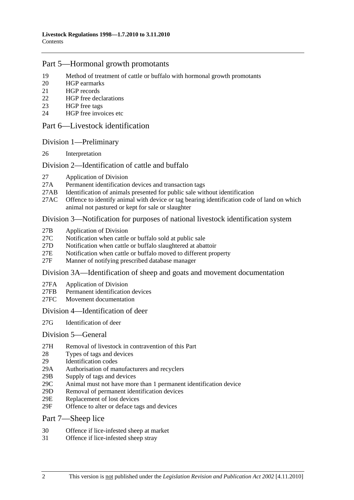## [Part 5—Hormonal growth promotants](#page-14-0)

- [19 Method of treatment of cattle or buffalo with hormonal growth promotants](#page-14-0)
- [20 HGP earmarks](#page-14-0)
- [21 HGP records](#page-15-0)
- [22 HGP free declarations](#page-16-0)
- [23 HGP free tags](#page-16-0)
- [24 HGP free invoices etc](#page-17-0)

## [Part 6—Livestock identification](#page-18-0)

## [Division 1—Preliminary](#page-18-0)

[26 Interpretation](#page-18-0) 

## [Division 2—Identification of cattle and buffalo](#page-19-0)

- [27 Application of Division](#page-19-0)
- [27A Permanent identification devices and transaction tags](#page-19-0)
- [27AB Identification of animals presented for public sale without identification](#page-19-0)
- [27AC Offence to identify animal with device or tag bearing identification code of land on which](#page-20-0)  [animal not pastured or kept for sale or slaughter](#page-20-0)

#### [Division 3—Notification for purposes of national livestock identification system](#page-20-0)

- [27B Application of Division](#page-20-0)
- [27C Notification when cattle or buffalo sold at public sale](#page-20-0)
- [27D Notification when cattle or buffalo slaughtered at abattoir](#page-22-0)
- [27E Notification when cattle or buffalo moved to different property](#page-23-0)
- [27F Manner of notifying prescribed database manager](#page-23-0)

#### [Division 3A—Identification of sheep and goats and movement documentation](#page-23-0)

- [27FA Application of Division](#page-23-0)
- [27FB Permanent identification devices](#page-23-0)
- [27FC Movement documentation](#page-24-0)

#### [Division 4—Identification of deer](#page-26-0)

[27G Identification of deer](#page-26-0) 

#### [Division 5—General](#page-26-0)

- [27H Removal of livestock in contravention of this Part](#page-26-0)
- [28 Types of tags and devices](#page-26-0)
- [29 Identification codes](#page-27-0)
- [29A Authorisation of manufacturers and recyclers](#page-28-0)
- [29B Supply of tags and devices](#page-28-0)
- [29C Animal must not have more than 1 permanent identification device](#page-28-0)
- [29D Removal of permanent identification devices](#page-28-0)
- [29E Replacement of lost devices](#page-29-0)
- [29F Offence to alter or deface tags and devices](#page-29-0)

### [Part 7—Sheep lice](#page-29-0)

- [30 Offence if lice-infested sheep at market](#page-29-0)
- [31 Offence if lice-infested sheep stray](#page-30-0)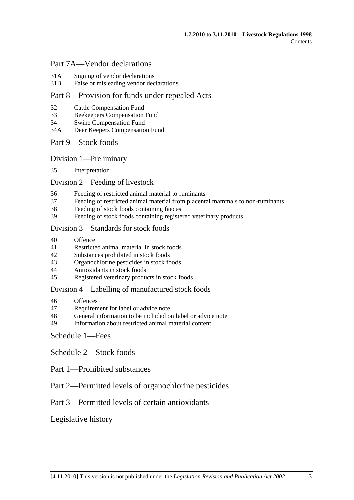## [Part 7A—Vendor declarations](#page-30-0)

- [31A Signing of vendor declarations](#page-30-0)
- [31B False or misleading vendor declarations](#page-30-0)

## [Part 8—Provision for funds under repealed Acts](#page-30-0)

- [32 Cattle Compensation Fund](#page-30-0)
- [33 Beekeepers Compensation Fund](#page-31-0)
- [34 Swine Compensation Fund](#page-31-0)
- [34A Deer Keepers Compensation Fund](#page-31-0)

## [Part 9—Stock foods](#page-31-0)

[Division 1—Preliminary](#page-31-0)

[35 Interpretation](#page-31-0) 

## [Division 2—Feeding of livestock](#page-32-0)

- [36 Feeding of restricted animal material to ruminants](#page-32-0)
- [37 Feeding of restricted animal material from placental mammals to non-ruminants](#page-32-0)
- [38 Feeding of stock foods containing faeces](#page-32-0)
- [39 Feeding of stock foods containing registered veterinary products](#page-32-0)

#### [Division 3—Standards for stock foods](#page-33-0)

- [40 Offence](#page-33-0)
- [41 Restricted animal material in stock foods](#page-33-0)
- [42 Substances prohibited in stock foods](#page-33-0)
- [43 Organochlorine pesticides in stock foods](#page-33-0)
- [44 Antioxidants in stock foods](#page-33-0)
- [45 Registered veterinary products in stock foods](#page-33-0)

#### [Division 4—Labelling of manufactured stock foods](#page-34-0)

- [46 Offences](#page-34-0)
- [47 Requirement for label or advice note](#page-34-0)
- [48 General information to be included on label or advice note](#page-34-0)
- [49 Information about restricted animal material content](#page-35-0)

## [Schedule 1—Fees](#page-35-0)

[Schedule 2—Stock foods](#page-36-0)

- [Part 1—Prohibited substances](#page-0-0)
- [Part 2—Permitted levels of organochlorine pesticides](#page-0-0)

## [Part 3—Permitted levels of certain antioxidants](#page-0-0)

## [Legislative history](#page-38-0)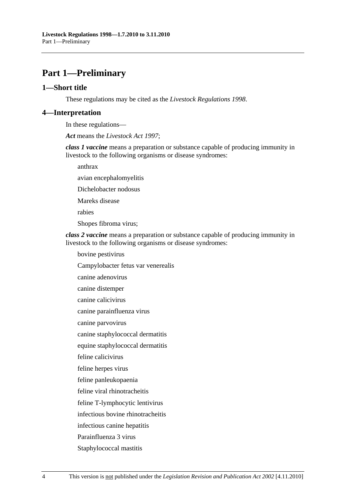# <span id="page-3-0"></span>**Part 1—Preliminary**

#### **1—Short title**

These regulations may be cited as the *Livestock Regulations 1998*.

## **4—Interpretation**

In these regulations—

*Act* means the *[Livestock Act 1997](http://www.legislation.sa.gov.au/index.aspx?action=legref&type=act&legtitle=Livestock%20Act%201997)*;

*class 1 vaccine* means a preparation or substance capable of producing immunity in livestock to the following organisms or disease syndromes:

anthrax

avian encephalomyelitis

Dichelobacter nodosus

Mareks disease

rabies

Shopes fibroma virus;

*class 2 vaccine* means a preparation or substance capable of producing immunity in livestock to the following organisms or disease syndromes:

bovine pestivirus

Campylobacter fetus var venerealis

canine adenovirus

canine distemper

canine calicivirus

canine parainfluenza virus

canine parvovirus

canine staphylococcal dermatitis

equine staphylococcal dermatitis

feline calicivirus

feline herpes virus

feline panleukopaenia

feline viral rhinotracheitis

feline T-lymphocytic lentivirus

infectious bovine rhinotracheitis

infectious canine hepatitis

Parainfluenza 3 virus

Staphylococcal mastitis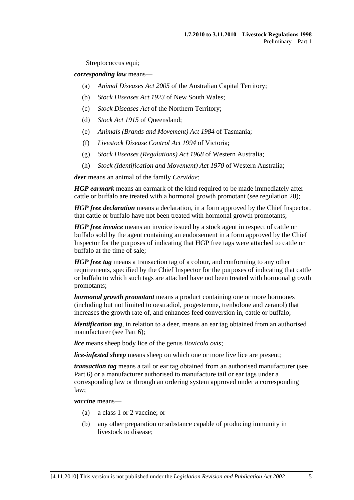Streptococcus equi;

<span id="page-4-0"></span>*corresponding law* means—

- (a) *Animal Diseases Act 2005* of the Australian Capital Territory;
- (b) *Stock Diseases Act 1923* of New South Wales;
- (c) *Stock Diseases Act* of the Northern Territory;
- (d) *Stock Act 1915* of Queensland;
- (e) *Animals (Brands and Movement) Act 1984* of Tasmania;
- (f) *Livestock Disease Control Act 1994* of Victoria;
- (g) *Stock Diseases (Regulations) Act 1968* of Western Australia;
- (h) *Stock (Identification and Movement) Act 1970* of Western Australia;

*deer* means an animal of the family *Cervidae*;

*HGP earmark* means an earmark of the kind required to be made immediately after cattle or buffalo are treated with a hormonal growth promotant (see [regulation 20](#page-14-0));

*HGP free declaration* means a declaration, in a form approved by the Chief Inspector, that cattle or buffalo have not been treated with hormonal growth promotants;

*HGP free invoice* means an invoice issued by a stock agent in respect of cattle or buffalo sold by the agent containing an endorsement in a form approved by the Chief Inspector for the purposes of indicating that HGP free tags were attached to cattle or buffalo at the time of sale;

*HGP free tag* means a transaction tag of a colour, and conforming to any other requirements, specified by the Chief Inspector for the purposes of indicating that cattle or buffalo to which such tags are attached have not been treated with hormonal growth promotants;

*hormonal growth promotant* means a product containing one or more hormones (including but not limited to oestradiol, progesterone, trenbolone and zeranol) that increases the growth rate of, and enhances feed conversion in, cattle or buffalo;

*identification tag*, in relation to a deer, means an ear tag obtained from an authorised manufacturer (see [Part 6\)](#page-18-0);

*lice* means sheep body lice of the genus *Bovicola ovis*;

*lice-infested sheep* means sheep on which one or more live lice are present;

*transaction tag* means a tail or ear tag obtained from an authorised manufacturer (see [Part 6\)](#page-18-0) or a manufacturer authorised to manufacture tail or ear tags under a corresponding law or through an ordering system approved under a corresponding law;

*vaccine* means—

- (a) a class 1 or 2 vaccine; or
- (b) any other preparation or substance capable of producing immunity in livestock to disease;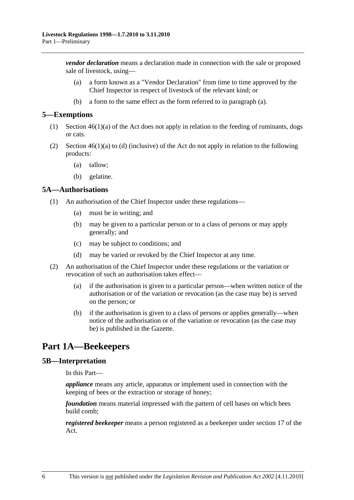<span id="page-5-0"></span>*vendor declaration* means a declaration made in connection with the sale or proposed sale of livestock, using—

- (a) a form known as a "Vendor Declaration" from time to time approved by the Chief Inspector in respect of livestock of the relevant kind; or
- (b) a form to the same effect as the form referred to in [paragraph \(a\).](#page-4-0)

#### **5—Exemptions**

- (1) Section 46(1)(a) of the Act does not apply in relation to the feeding of ruminants, dogs or cats.
- (2) Section 46(1)(a) to (d) (inclusive) of the Act do not apply in relation to the following products:
	- (a) tallow;
	- (b) gelatine.

#### **5A—Authorisations**

- (1) An authorisation of the Chief Inspector under these regulations—
	- (a) must be in writing; and
	- (b) may be given to a particular person or to a class of persons or may apply generally; and
	- (c) may be subject to conditions; and
	- (d) may be varied or revoked by the Chief Inspector at any time.
- (2) An authorisation of the Chief Inspector under these regulations or the variation or revocation of such an authorisation takes effect—
	- (a) if the authorisation is given to a particular person—when written notice of the authorisation or of the variation or revocation (as the case may be) is served on the person; or
	- (b) if the authorisation is given to a class of persons or applies generally—when notice of the authorisation or of the variation or revocation (as the case may be) is published in the Gazette.

# **Part 1A—Beekeepers**

#### **5B—Interpretation**

In this Part—

*appliance* means any article, apparatus or implement used in connection with the keeping of bees or the extraction or storage of honey;

*foundation* means material impressed with the pattern of cell bases on which bees build comb;

*registered beekeeper* means a person registered as a beekeeper under section 17 of the Act.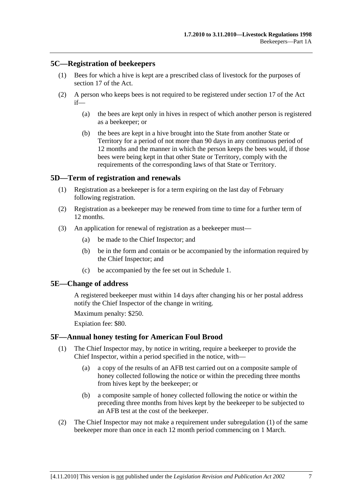## <span id="page-6-0"></span>**5C—Registration of beekeepers**

- (1) Bees for which a hive is kept are a prescribed class of livestock for the purposes of section 17 of the Act.
- (2) A person who keeps bees is not required to be registered under section 17 of the Act if—
	- (a) the bees are kept only in hives in respect of which another person is registered as a beekeeper; or
	- (b) the bees are kept in a hive brought into the State from another State or Territory for a period of not more than 90 days in any continuous period of 12 months and the manner in which the person keeps the bees would, if those bees were being kept in that other State or Territory, comply with the requirements of the corresponding laws of that State or Territory.

## **5D—Term of registration and renewals**

- (1) Registration as a beekeeper is for a term expiring on the last day of February following registration.
- (2) Registration as a beekeeper may be renewed from time to time for a further term of 12 months.
- (3) An application for renewal of registration as a beekeeper must—
	- (a) be made to the Chief Inspector; and
	- (b) be in the form and contain or be accompanied by the information required by the Chief Inspector; and
	- (c) be accompanied by the fee set out in [Schedule 1.](#page-35-0)

#### **5E—Change of address**

A registered beekeeper must within 14 days after changing his or her postal address notify the Chief Inspector of the change in writing.

Maximum penalty: \$250.

Expiation fee: \$80.

#### **5F—Annual honey testing for American Foul Brood**

- (1) The Chief Inspector may, by notice in writing, require a beekeeper to provide the Chief Inspector, within a period specified in the notice, with—
	- (a) a copy of the results of an AFB test carried out on a composite sample of honey collected following the notice or within the preceding three months from hives kept by the beekeeper; or
	- (b) a composite sample of honey collected following the notice or within the preceding three months from hives kept by the beekeeper to be subjected to an AFB test at the cost of the beekeeper.
- (2) The Chief Inspector may not make a requirement under [subregulation \(1\)](#page-6-0) of the same beekeeper more than once in each 12 month period commencing on 1 March.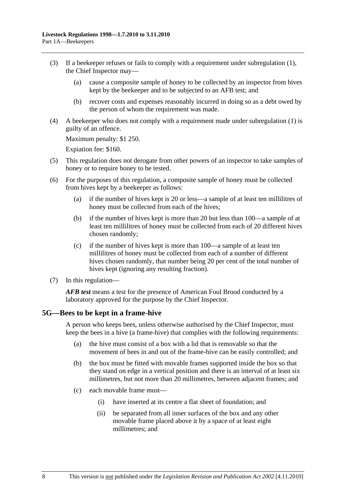- <span id="page-7-0"></span> (3) If a beekeeper refuses or fails to comply with a requirement under [subregulation \(1\)](#page-6-0), the Chief Inspector may—
	- (a) cause a composite sample of honey to be collected by an inspector from hives kept by the beekeeper and to be subjected to an AFB test; and
	- (b) recover costs and expenses reasonably incurred in doing so as a debt owed by the person of whom the requirement was made.
- (4) A beekeeper who does not comply with a requirement made under [subregulation \(1\)](#page-6-0) is guilty of an offence.

Maximum penalty: \$1 250.

Expiation fee: \$160.

- (5) This regulation does not derogate from other powers of an inspector to take samples of honey or to require honey to be tested.
- (6) For the purposes of this regulation, a composite sample of honey must be collected from hives kept by a beekeeper as follows:
	- (a) if the number of hives kept is 20 or less—a sample of at least ten millilitres of honey must be collected from each of the hives;
	- (b) if the number of hives kept is more than 20 but less than 100—a sample of at least ten millilitres of honey must be collected from each of 20 different hives chosen randomly;
	- (c) if the number of hives kept is more than 100—a sample of at least ten millilitres of honey must be collected from each of a number of different hives chosen randomly, that number being 20 per cent of the total number of hives kept (ignoring any resulting fraction).
- (7) In this regulation—

*AFB test* means a test for the presence of American Foul Brood conducted by a laboratory approved for the purpose by the Chief Inspector.

#### **5G—Bees to be kept in a frame-hive**

A person who keeps bees, unless otherwise authorised by the Chief Inspector, must keep the bees in a hive (a frame-hive) that complies with the following requirements:

- (a) the hive must consist of a box with a lid that is removable so that the movement of bees in and out of the frame-hive can be easily controlled; and
- (b) the box must be fitted with movable frames supported inside the box so that they stand on edge in a vertical position and there is an interval of at least six millimetres, but not more than 20 millimetres, between adjacent frames; and
- (c) each movable frame must—
	- (i) have inserted at its centre a flat sheet of foundation; and
	- (ii) be separated from all inner surfaces of the box and any other movable frame placed above it by a space of at least eight millimetres; and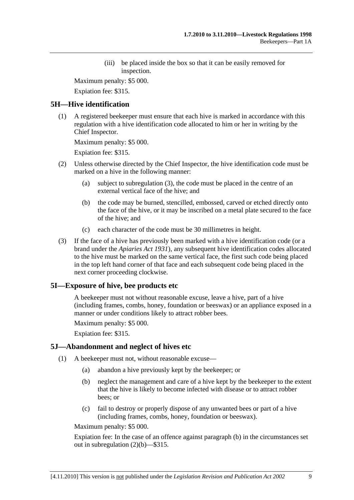(iii) be placed inside the box so that it can be easily removed for inspection.

<span id="page-8-0"></span>Maximum penalty: \$5 000.

Expiation fee: \$315.

## **5H—Hive identification**

 (1) A registered beekeeper must ensure that each hive is marked in accordance with this regulation with a hive identification code allocated to him or her in writing by the Chief Inspector.

Maximum penalty: \$5 000.

Expiation fee: \$315.

- (2) Unless otherwise directed by the Chief Inspector, the hive identification code must be marked on a hive in the following manner:
	- (a) subject to [subregulation \(3\),](#page-8-0) the code must be placed in the centre of an external vertical face of the hive; and
	- (b) the code may be burned, stencilled, embossed, carved or etched directly onto the face of the hive, or it may be inscribed on a metal plate secured to the face of the hive; and
	- (c) each character of the code must be 30 millimetres in height.
- (3) If the face of a hive has previously been marked with a hive identification code (or a brand under the *[Apiaries Act 1931](http://www.legislation.sa.gov.au/index.aspx?action=legref&type=act&legtitle=Apiaries%20Act%201931)*), any subsequent hive identification codes allocated to the hive must be marked on the same vertical face, the first such code being placed in the top left hand corner of that face and each subsequent code being placed in the next corner proceeding clockwise.

## **5I—Exposure of hive, bee products etc**

A beekeeper must not without reasonable excuse, leave a hive, part of a hive (including frames, combs, honey, foundation or beeswax) or an appliance exposed in a manner or under conditions likely to attract robber bees.

Maximum penalty: \$5 000.

Expiation fee: \$315.

#### **5J—Abandonment and neglect of hives etc**

- (1) A beekeeper must not, without reasonable excuse—
	- (a) abandon a hive previously kept by the beekeeper; or
	- (b) neglect the management and care of a hive kept by the beekeeper to the extent that the hive is likely to become infected with disease or to attract robber bees; or
	- (c) fail to destroy or properly dispose of any unwanted bees or part of a hive (including frames, combs, honey, foundation or beeswax).

Maximum penalty: \$5 000.

Expiation fee: In the case of an offence against [paragraph \(b\)](#page-8-0) in the circumstances set out in [subregulation \(2\)\(b\)—](#page-9-0)\$315.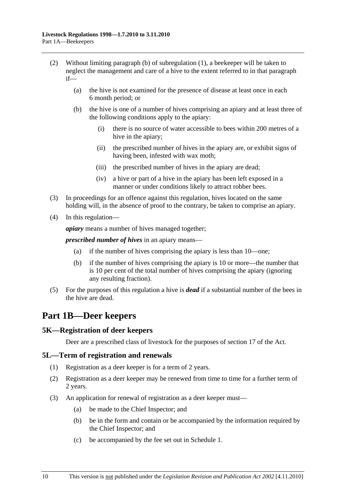- <span id="page-9-0"></span> (2) Without limiting [paragraph \(b\)](#page-8-0) of [subregulation \(1\),](#page-8-0) a beekeeper will be taken to neglect the management and care of a hive to the extent referred to in that paragraph if—
	- (a) the hive is not examined for the presence of disease at least once in each 6 month period; or
	- (b) the hive is one of a number of hives comprising an apiary and at least three of the following conditions apply to the apiary:
		- (i) there is no source of water accessible to bees within 200 metres of a hive in the apiary;
		- (ii) the prescribed number of hives in the apiary are, or exhibit signs of having been, infested with wax moth;
		- (iii) the prescribed number of hives in the apiary are dead;
		- (iv) a hive or part of a hive in the apiary has been left exposed in a manner or under conditions likely to attract robber bees.
- (3) In proceedings for an offence against this regulation, hives located on the same holding will, in the absence of proof to the contrary, be taken to comprise an apiary.
- (4) In this regulation—

*apiary* means a number of hives managed together;

*prescribed number of hives* in an apiary means—

- (a) if the number of hives comprising the apiary is less than 10—one;
- (b) if the number of hives comprising the apiary is 10 or more—the number that is 10 per cent of the total number of hives comprising the apiary (ignoring any resulting fraction).
- (5) For the purposes of this regulation a hive is *dead* if a substantial number of the bees in the hive are dead.

# **Part 1B—Deer keepers**

## **5K—Registration of deer keepers**

Deer are a prescribed class of livestock for the purposes of section 17 of the Act.

#### **5L—Term of registration and renewals**

- (1) Registration as a deer keeper is for a term of 2 years.
- (2) Registration as a deer keeper may be renewed from time to time for a further term of 2 years.
- (3) An application for renewal of registration as a deer keeper must—
	- (a) be made to the Chief Inspector; and
	- (b) be in the form and contain or be accompanied by the information required by the Chief Inspector; and
	- (c) be accompanied by the fee set out in [Schedule 1.](#page-35-0)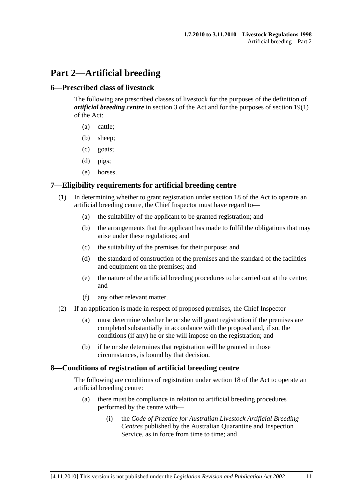# <span id="page-10-0"></span>**Part 2—Artificial breeding**

## **6—Prescribed class of livestock**

The following are prescribed classes of livestock for the purposes of the definition of *artificial breeding centre* in section 3 of the Act and for the purposes of section 19(1) of the Act:

- (a) cattle;
- (b) sheep;
- (c) goats;
- (d) pigs;
- (e) horses.

## **7—Eligibility requirements for artificial breeding centre**

- (1) In determining whether to grant registration under section 18 of the Act to operate an artificial breeding centre, the Chief Inspector must have regard to—
	- (a) the suitability of the applicant to be granted registration; and
	- (b) the arrangements that the applicant has made to fulfil the obligations that may arise under these regulations; and
	- (c) the suitability of the premises for their purpose; and
	- (d) the standard of construction of the premises and the standard of the facilities and equipment on the premises; and
	- (e) the nature of the artificial breeding procedures to be carried out at the centre; and
	- (f) any other relevant matter.
- (2) If an application is made in respect of proposed premises, the Chief Inspector—
	- (a) must determine whether he or she will grant registration if the premises are completed substantially in accordance with the proposal and, if so, the conditions (if any) he or she will impose on the registration; and
	- (b) if he or she determines that registration will be granted in those circumstances, is bound by that decision.

### **8—Conditions of registration of artificial breeding centre**

The following are conditions of registration under section 18 of the Act to operate an artificial breeding centre:

- (a) there must be compliance in relation to artificial breeding procedures performed by the centre with—
	- (i) the *Code of Practice for Australian Livestock Artificial Breeding Centres* published by the Australian Quarantine and Inspection Service, as in force from time to time; and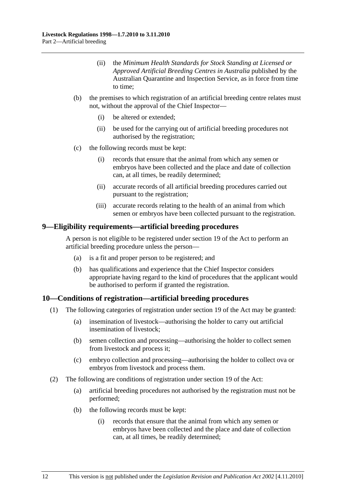- <span id="page-11-0"></span> (ii) the *Minimum Health Standards for Stock Standing at Licensed or Approved Artificial Breeding Centres in Australia* published by the Australian Quarantine and Inspection Service, as in force from time to time;
- (b) the premises to which registration of an artificial breeding centre relates must not, without the approval of the Chief Inspector—
	- (i) be altered or extended;
	- (ii) be used for the carrying out of artificial breeding procedures not authorised by the registration;
- (c) the following records must be kept:
	- (i) records that ensure that the animal from which any semen or embryos have been collected and the place and date of collection can, at all times, be readily determined;
	- (ii) accurate records of all artificial breeding procedures carried out pursuant to the registration;
	- (iii) accurate records relating to the health of an animal from which semen or embryos have been collected pursuant to the registration.

#### **9—Eligibility requirements—artificial breeding procedures**

A person is not eligible to be registered under section 19 of the Act to perform an artificial breeding procedure unless the person—

- (a) is a fit and proper person to be registered; and
- (b) has qualifications and experience that the Chief Inspector considers appropriate having regard to the kind of procedures that the applicant would be authorised to perform if granted the registration.

## **10—Conditions of registration—artificial breeding procedures**

- (1) The following categories of registration under section 19 of the Act may be granted:
	- (a) insemination of livestock—authorising the holder to carry out artificial insemination of livestock;
	- (b) semen collection and processing—authorising the holder to collect semen from livestock and process it;
	- (c) embryo collection and processing—authorising the holder to collect ova or embryos from livestock and process them.
- (2) The following are conditions of registration under section 19 of the Act:
	- (a) artificial breeding procedures not authorised by the registration must not be performed;
	- (b) the following records must be kept:
		- (i) records that ensure that the animal from which any semen or embryos have been collected and the place and date of collection can, at all times, be readily determined;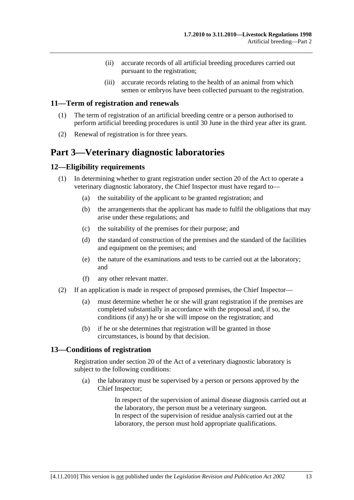- (ii) accurate records of all artificial breeding procedures carried out pursuant to the registration;
- (iii) accurate records relating to the health of an animal from which semen or embryos have been collected pursuant to the registration.

### <span id="page-12-0"></span>**11—Term of registration and renewals**

- (1) The term of registration of an artificial breeding centre or a person authorised to perform artificial breeding procedures is until 30 June in the third year after its grant.
- (2) Renewal of registration is for three years.

# **Part 3—Veterinary diagnostic laboratories**

## **12—Eligibility requirements**

- (1) In determining whether to grant registration under section 20 of the Act to operate a veterinary diagnostic laboratory, the Chief Inspector must have regard to—
	- (a) the suitability of the applicant to be granted registration; and
	- (b) the arrangements that the applicant has made to fulfil the obligations that may arise under these regulations; and
	- (c) the suitability of the premises for their purpose; and
	- (d) the standard of construction of the premises and the standard of the facilities and equipment on the premises; and
	- (e) the nature of the examinations and tests to be carried out at the laboratory; and
	- (f) any other relevant matter.
- (2) If an application is made in respect of proposed premises, the Chief Inspector—
	- (a) must determine whether he or she will grant registration if the premises are completed substantially in accordance with the proposal and, if so, the conditions (if any) he or she will impose on the registration; and
	- (b) if he or she determines that registration will be granted in those circumstances, is bound by that decision.

## **13—Conditions of registration**

Registration under section 20 of the Act of a veterinary diagnostic laboratory is subject to the following conditions:

 (a) the laboratory must be supervised by a person or persons approved by the Chief Inspector;

> In respect of the supervision of animal disease diagnosis carried out at the laboratory, the person must be a veterinary surgeon. In respect of the supervision of residue analysis carried out at the laboratory, the person must hold appropriate qualifications.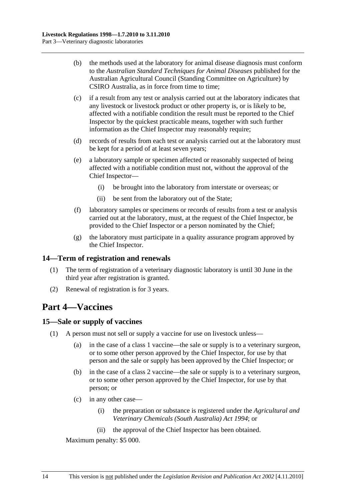- <span id="page-13-0"></span> (b) the methods used at the laboratory for animal disease diagnosis must conform to the *Australian Standard Techniques for Animal Diseases* published for the Australian Agricultural Council (Standing Committee on Agriculture) by CSIRO Australia, as in force from time to time;
- (c) if a result from any test or analysis carried out at the laboratory indicates that any livestock or livestock product or other property is, or is likely to be, affected with a notifiable condition the result must be reported to the Chief Inspector by the quickest practicable means, together with such further information as the Chief Inspector may reasonably require;
- (d) records of results from each test or analysis carried out at the laboratory must be kept for a period of at least seven years;
- (e) a laboratory sample or specimen affected or reasonably suspected of being affected with a notifiable condition must not, without the approval of the Chief Inspector—
	- (i) be brought into the laboratory from interstate or overseas; or
	- (ii) be sent from the laboratory out of the State;
- (f) laboratory samples or specimens or records of results from a test or analysis carried out at the laboratory, must, at the request of the Chief Inspector, be provided to the Chief Inspector or a person nominated by the Chief;
- (g) the laboratory must participate in a quality assurance program approved by the Chief Inspector.

## **14—Term of registration and renewals**

- (1) The term of registration of a veterinary diagnostic laboratory is until 30 June in the third year after registration is granted.
- (2) Renewal of registration is for 3 years.

# **Part 4—Vaccines**

#### **15—Sale or supply of vaccines**

- (1) A person must not sell or supply a vaccine for use on livestock unless—
	- (a) in the case of a class 1 vaccine—the sale or supply is to a veterinary surgeon, or to some other person approved by the Chief Inspector, for use by that person and the sale or supply has been approved by the Chief Inspector; or
	- (b) in the case of a class 2 vaccine—the sale or supply is to a veterinary surgeon, or to some other person approved by the Chief Inspector, for use by that person; or
	- (c) in any other case—
		- (i) the preparation or substance is registered under the *[Agricultural and](http://www.legislation.sa.gov.au/index.aspx?action=legref&type=act&legtitle=Agricultural%20and%20Veterinary%20Chemicals%20(South%20Australia)%20Act%201994)  [Veterinary Chemicals \(South Australia\) Act 1994](http://www.legislation.sa.gov.au/index.aspx?action=legref&type=act&legtitle=Agricultural%20and%20Veterinary%20Chemicals%20(South%20Australia)%20Act%201994)*; or
		- (ii) the approval of the Chief Inspector has been obtained.

Maximum penalty: \$5 000.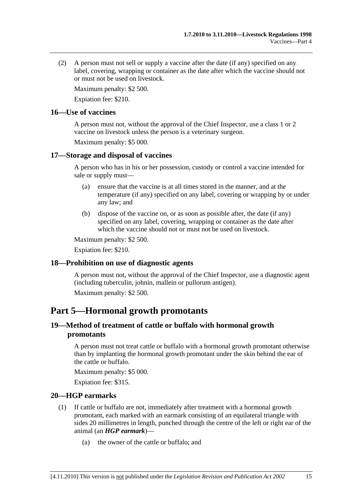<span id="page-14-0"></span> (2) A person must not sell or supply a vaccine after the date (if any) specified on any label, covering, wrapping or container as the date after which the vaccine should not or must not be used on livestock.

Maximum penalty: \$2 500.

Expiation fee: \$210.

## **16—Use of vaccines**

A person must not, without the approval of the Chief Inspector, use a class 1 or 2 vaccine on livestock unless the person is a veterinary surgeon.

Maximum penalty: \$5 000.

## **17—Storage and disposal of vaccines**

A person who has in his or her possession, custody or control a vaccine intended for sale or supply must—

- (a) ensure that the vaccine is at all times stored in the manner, and at the temperature (if any) specified on any label, covering or wrapping by or under any law; and
- (b) dispose of the vaccine on, or as soon as possible after, the date (if any) specified on any label, covering, wrapping or container as the date after which the vaccine should not or must not be used on livestock.

Maximum penalty: \$2 500.

Expiation fee: \$210.

## **18—Prohibition on use of diagnostic agents**

A person must not, without the approval of the Chief Inspector, use a diagnostic agent (including tuberculin, johnin, mallein or pullorum antigen).

Maximum penalty: \$2 500.

# **Part 5—Hormonal growth promotants**

## **19—Method of treatment of cattle or buffalo with hormonal growth promotants**

A person must not treat cattle or buffalo with a hormonal growth promotant otherwise than by implanting the hormonal growth promotant under the skin behind the ear of the cattle or buffalo.

Maximum penalty: \$5 000.

Expiation fee: \$315.

## **20—HGP earmarks**

- (1) If cattle or buffalo are not, immediately after treatment with a hormonal growth promotant, each marked with an earmark consisting of an equilateral triangle with sides 20 millimetres in length, punched through the centre of the left or right ear of the animal (an *HGP earmark*)—
	- (a) the owner of the cattle or buffalo; and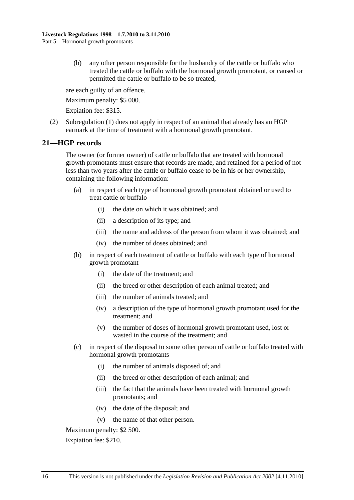<span id="page-15-0"></span> (b) any other person responsible for the husbandry of the cattle or buffalo who treated the cattle or buffalo with the hormonal growth promotant, or caused or permitted the cattle or buffalo to be so treated,

are each guilty of an offence.

Maximum penalty: \$5 000.

Expiation fee: \$315.

 (2) [Subregulation \(1\)](#page-14-0) does not apply in respect of an animal that already has an HGP earmark at the time of treatment with a hormonal growth promotant.

## **21—HGP records**

The owner (or former owner) of cattle or buffalo that are treated with hormonal growth promotants must ensure that records are made, and retained for a period of not less than two years after the cattle or buffalo cease to be in his or her ownership, containing the following information:

- (a) in respect of each type of hormonal growth promotant obtained or used to treat cattle or buffalo—
	- (i) the date on which it was obtained; and
	- (ii) a description of its type; and
	- (iii) the name and address of the person from whom it was obtained; and
	- (iv) the number of doses obtained; and
- (b) in respect of each treatment of cattle or buffalo with each type of hormonal growth promotant—
	- (i) the date of the treatment; and
	- (ii) the breed or other description of each animal treated; and
	- (iii) the number of animals treated; and
	- (iv) a description of the type of hormonal growth promotant used for the treatment; and
	- (v) the number of doses of hormonal growth promotant used, lost or wasted in the course of the treatment; and
- (c) in respect of the disposal to some other person of cattle or buffalo treated with hormonal growth promotants—
	- (i) the number of animals disposed of; and
	- (ii) the breed or other description of each animal; and
	- (iii) the fact that the animals have been treated with hormonal growth promotants; and
	- (iv) the date of the disposal; and
	- (v) the name of that other person.

Maximum penalty: \$2 500.

Expiation fee: \$210.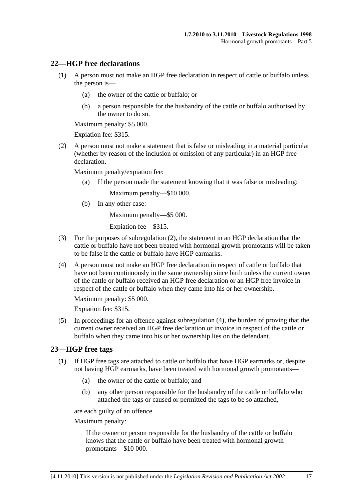## <span id="page-16-0"></span>**22—HGP free declarations**

- (1) A person must not make an HGP free declaration in respect of cattle or buffalo unless the person is—
	- (a) the owner of the cattle or buffalo; or
	- (b) a person responsible for the husbandry of the cattle or buffalo authorised by the owner to do so.

Maximum penalty: \$5 000.

Expiation fee: \$315.

 (2) A person must not make a statement that is false or misleading in a material particular (whether by reason of the inclusion or omission of any particular) in an HGP free declaration.

Maximum penalty/expiation fee:

(a) If the person made the statement knowing that it was false or misleading:

Maximum penalty—\$10 000.

(b) In any other case:

Maximum penalty—\$5 000.

Expiation fee—\$315.

- (3) For the purposes of [subregulation \(2\),](#page-16-0) the statement in an HGP declaration that the cattle or buffalo have not been treated with hormonal growth promotants will be taken to be false if the cattle or buffalo have HGP earmarks.
- (4) A person must not make an HGP free declaration in respect of cattle or buffalo that have not been continuously in the same ownership since birth unless the current owner of the cattle or buffalo received an HGP free declaration or an HGP free invoice in respect of the cattle or buffalo when they came into his or her ownership.

Maximum penalty: \$5 000.

Expiation fee: \$315.

 (5) In proceedings for an offence against [subregulation \(4\)](#page-16-0), the burden of proving that the current owner received an HGP free declaration or invoice in respect of the cattle or buffalo when they came into his or her ownership lies on the defendant.

#### **23—HGP free tags**

- (1) If HGP free tags are attached to cattle or buffalo that have HGP earmarks or, despite not having HGP earmarks, have been treated with hormonal growth promotants—
	- (a) the owner of the cattle or buffalo; and
	- (b) any other person responsible for the husbandry of the cattle or buffalo who attached the tags or caused or permitted the tags to be so attached,

are each guilty of an offence.

Maximum penalty:

If the owner or person responsible for the husbandry of the cattle or buffalo knows that the cattle or buffalo have been treated with hormonal growth promotants—\$10 000.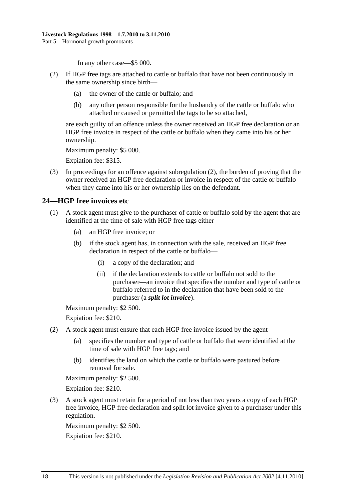In any other case—\$5 000.

- <span id="page-17-0"></span> (2) If HGP free tags are attached to cattle or buffalo that have not been continuously in the same ownership since birth—
	- (a) the owner of the cattle or buffalo; and
	- (b) any other person responsible for the husbandry of the cattle or buffalo who attached or caused or permitted the tags to be so attached,

are each guilty of an offence unless the owner received an HGP free declaration or an HGP free invoice in respect of the cattle or buffalo when they came into his or her ownership.

Maximum penalty: \$5 000.

Expiation fee: \$315.

 (3) In proceedings for an offence against [subregulation \(2\)](#page-17-0), the burden of proving that the owner received an HGP free declaration or invoice in respect of the cattle or buffalo when they came into his or her ownership lies on the defendant.

## **24—HGP free invoices etc**

- (1) A stock agent must give to the purchaser of cattle or buffalo sold by the agent that are identified at the time of sale with HGP free tags either—
	- (a) an HGP free invoice; or
	- (b) if the stock agent has, in connection with the sale, received an HGP free declaration in respect of the cattle or buffalo—
		- (i) a copy of the declaration; and
		- (ii) if the declaration extends to cattle or buffalo not sold to the purchaser—an invoice that specifies the number and type of cattle or buffalo referred to in the declaration that have been sold to the purchaser (a *split lot invoice*).

Maximum penalty: \$2 500.

Expiation fee: \$210.

- (2) A stock agent must ensure that each HGP free invoice issued by the agent—
	- (a) specifies the number and type of cattle or buffalo that were identified at the time of sale with HGP free tags; and
	- (b) identifies the land on which the cattle or buffalo were pastured before removal for sale.

Maximum penalty: \$2 500.

Expiation fee: \$210.

 (3) A stock agent must retain for a period of not less than two years a copy of each HGP free invoice, HGP free declaration and split lot invoice given to a purchaser under this regulation.

Maximum penalty: \$2 500.

Expiation fee: \$210.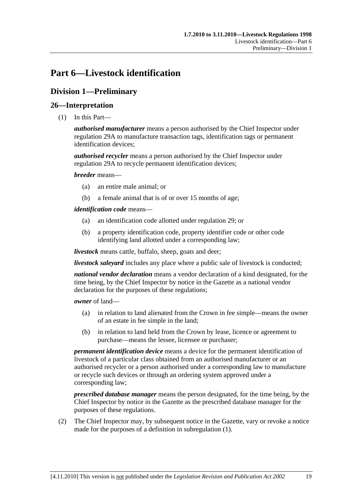# <span id="page-18-0"></span>**Part 6—Livestock identification**

## **Division 1—Preliminary**

## **26—Interpretation**

(1) In this Part—

*authorised manufacturer* means a person authorised by the Chief Inspector under [regulation 29A](#page-28-0) to manufacture transaction tags, identification tags or permanent identification devices;

*authorised recycler* means a person authorised by the Chief Inspector under [regulation 29A](#page-28-0) to recycle permanent identification devices;

*breeder* means—

- (a) an entire male animal; or
- (b) a female animal that is of or over 15 months of age;

*identification code* means—

- (a) an identification code allotted under [regulation 29](#page-27-0); or
- (b) a property identification code, property identifier code or other code identifying land allotted under a corresponding law;

*livestock* means cattle, buffalo, sheep, goats and deer;

*livestock saleyard* includes any place where a public sale of livestock is conducted;

*national vendor declaration* means a vendor declaration of a kind designated, for the time being, by the Chief Inspector by notice in the Gazette as a national vendor declaration for the purposes of these regulations;

*owner* of land—

- (a) in relation to land alienated from the Crown in fee simple—means the owner of an estate in fee simple in the land;
- (b) in relation to land held from the Crown by lease, licence or agreement to purchase—means the lessee, licensee or purchaser;

*permanent identification device* means a device for the permanent identification of livestock of a particular class obtained from an authorised manufacturer or an authorised recycler or a person authorised under a corresponding law to manufacture or recycle such devices or through an ordering system approved under a corresponding law;

*prescribed database manager* means the person designated, for the time being, by the Chief Inspector by notice in the Gazette as the prescribed database manager for the purposes of these regulations.

 (2) The Chief Inspector may, by subsequent notice in the Gazette, vary or revoke a notice made for the purposes of a definition in [subregulation \(1\)](#page-18-0).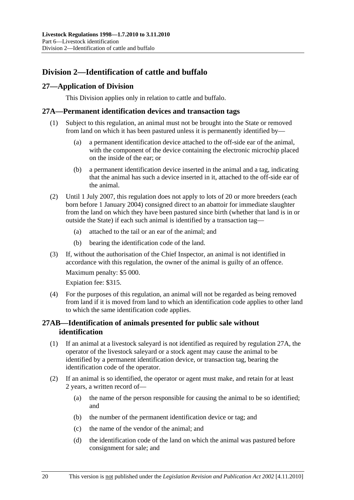# <span id="page-19-0"></span>**Division 2—Identification of cattle and buffalo**

## **27—Application of Division**

This Division applies only in relation to cattle and buffalo.

## **27A—Permanent identification devices and transaction tags**

- (1) Subject to this regulation, an animal must not be brought into the State or removed from land on which it has been pastured unless it is permanently identified by—
	- (a) a permanent identification device attached to the off-side ear of the animal, with the component of the device containing the electronic microchip placed on the inside of the ear; or
	- (b) a permanent identification device inserted in the animal and a tag, indicating that the animal has such a device inserted in it, attached to the off-side ear of the animal.
- (2) Until 1 July 2007, this regulation does not apply to lots of 20 or more breeders (each born before 1 January 2004) consigned direct to an abattoir for immediate slaughter from the land on which they have been pastured since birth (whether that land is in or outside the State) if each such animal is identified by a transaction tag—
	- (a) attached to the tail or an ear of the animal; and
	- (b) bearing the identification code of the land.
- (3) If, without the authorisation of the Chief Inspector, an animal is not identified in accordance with this regulation, the owner of the animal is guilty of an offence.

Maximum penalty: \$5 000.

Expiation fee: \$315.

 (4) For the purposes of this regulation, an animal will not be regarded as being removed from land if it is moved from land to which an identification code applies to other land to which the same identification code applies.

## **27AB—Identification of animals presented for public sale without identification**

- (1) If an animal at a livestock saleyard is not identified as required by [regulation 27A](#page-19-0), the operator of the livestock saleyard or a stock agent may cause the animal to be identified by a permanent identification device, or transaction tag, bearing the identification code of the operator.
- (2) If an animal is so identified, the operator or agent must make, and retain for at least 2 years, a written record of—
	- (a) the name of the person responsible for causing the animal to be so identified; and
	- (b) the number of the permanent identification device or tag; and
	- (c) the name of the vendor of the animal; and
	- (d) the identification code of the land on which the animal was pastured before consignment for sale; and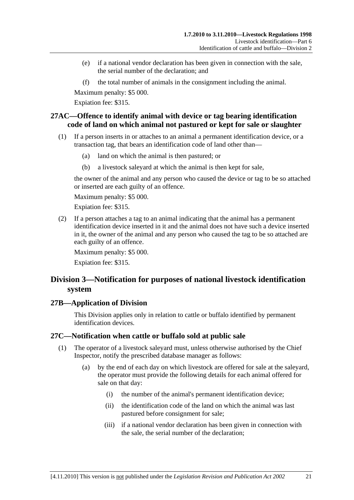- <span id="page-20-0"></span> (e) if a national vendor declaration has been given in connection with the sale, the serial number of the declaration; and
- (f) the total number of animals in the consignment including the animal.

Expiation fee: \$315.

## **27AC—Offence to identify animal with device or tag bearing identification code of land on which animal not pastured or kept for sale or slaughter**

- (1) If a person inserts in or attaches to an animal a permanent identification device, or a transaction tag, that bears an identification code of land other than—
	- (a) land on which the animal is then pastured; or
	- (b) a livestock saleyard at which the animal is then kept for sale,

the owner of the animal and any person who caused the device or tag to be so attached or inserted are each guilty of an offence.

Maximum penalty: \$5 000.

Expiation fee: \$315.

 (2) If a person attaches a tag to an animal indicating that the animal has a permanent identification device inserted in it and the animal does not have such a device inserted in it, the owner of the animal and any person who caused the tag to be so attached are each guilty of an offence.

Maximum penalty: \$5 000.

Expiation fee: \$315.

## **Division 3—Notification for purposes of national livestock identification system**

#### **27B—Application of Division**

This Division applies only in relation to cattle or buffalo identified by permanent identification devices.

## **27C—Notification when cattle or buffalo sold at public sale**

- (1) The operator of a livestock saleyard must, unless otherwise authorised by the Chief Inspector, notify the prescribed database manager as follows:
	- (a) by the end of each day on which livestock are offered for sale at the saleyard, the operator must provide the following details for each animal offered for sale on that day:
		- (i) the number of the animal's permanent identification device;
		- (ii) the identification code of the land on which the animal was last pastured before consignment for sale;
		- (iii) if a national vendor declaration has been given in connection with the sale, the serial number of the declaration;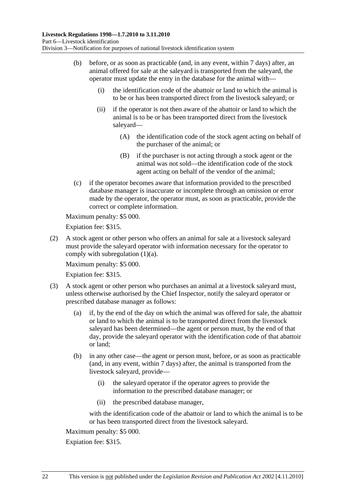- <span id="page-21-0"></span> (b) before, or as soon as practicable (and, in any event, within 7 days) after, an animal offered for sale at the saleyard is transported from the saleyard, the operator must update the entry in the database for the animal with—
	- (i) the identification code of the abattoir or land to which the animal is to be or has been transported direct from the livestock saleyard; or
	- (ii) if the operator is not then aware of the abattoir or land to which the animal is to be or has been transported direct from the livestock saleyard—
		- (A) the identification code of the stock agent acting on behalf of the purchaser of the animal; or
		- (B) if the purchaser is not acting through a stock agent or the animal was not sold—the identification code of the stock agent acting on behalf of the vendor of the animal;
- (c) if the operator becomes aware that information provided to the prescribed database manager is inaccurate or incomplete through an omission or error made by the operator, the operator must, as soon as practicable, provide the correct or complete information.

Expiation fee: \$315.

 (2) A stock agent or other person who offers an animal for sale at a livestock saleyard must provide the saleyard operator with information necessary for the operator to comply with [subregulation \(1\)\(a\).](#page-20-0)

Maximum penalty: \$5 000.

Expiation fee: \$315.

- (3) A stock agent or other person who purchases an animal at a livestock saleyard must, unless otherwise authorised by the Chief Inspector, notify the saleyard operator or prescribed database manager as follows:
	- (a) if, by the end of the day on which the animal was offered for sale, the abattoir or land to which the animal is to be transported direct from the livestock saleyard has been determined—the agent or person must, by the end of that day, provide the saleyard operator with the identification code of that abattoir or land;
	- (b) in any other case—the agent or person must, before, or as soon as practicable (and, in any event, within 7 days) after, the animal is transported from the livestock saleyard, provide—
		- (i) the saleyard operator if the operator agrees to provide the information to the prescribed database manager; or
		- (ii) the prescribed database manager,

with the identification code of the abattoir or land to which the animal is to be or has been transported direct from the livestock saleyard.

Maximum penalty: \$5 000.

Expiation fee: \$315.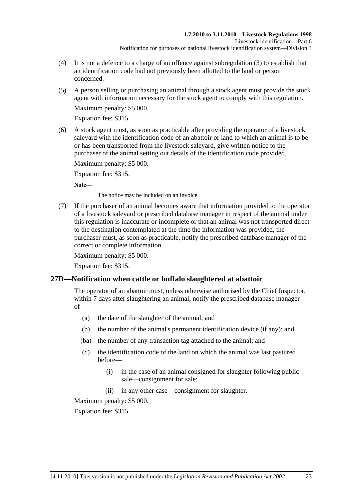- <span id="page-22-0"></span> (4) It is not a defence to a charge of an offence against [subregulation \(3\)](#page-21-0) to establish that an identification code had not previously been allotted to the land or person concerned.
- (5) A person selling or purchasing an animal through a stock agent must provide the stock agent with information necessary for the stock agent to comply with this regulation.

Expiation fee: \$315.

 (6) A stock agent must, as soon as practicable after providing the operator of a livestock saleyard with the identification code of an abattoir or land to which an animal is to be or has been transported from the livestock saleyard, give written notice to the purchaser of the animal setting out details of the identification code provided.

Maximum penalty: \$5 000.

Expiation fee: \$315.

**Note—** 

The notice may be included on an invoice.

 (7) If the purchaser of an animal becomes aware that information provided to the operator of a livestock saleyard or prescribed database manager in respect of the animal under this regulation is inaccurate or incomplete or that an animal was not transported direct to the destination contemplated at the time the information was provided, the purchaser must, as soon as practicable, notify the prescribed database manager of the correct or complete information.

Maximum penalty: \$5 000.

Expiation fee: \$315.

## **27D—Notification when cattle or buffalo slaughtered at abattoir**

The operator of an abattoir must, unless otherwise authorised by the Chief Inspector, within 7 days after slaughtering an animal, notify the prescribed database manager of—

- (a) the date of the slaughter of the animal; and
- (b) the number of the animal's permanent identification device (if any); and
- (ba) the number of any transaction tag attached to the animal; and
- (c) the identification code of the land on which the animal was last pastured before—
	- (i) in the case of an animal consigned for slaughter following public sale—consignment for sale;
	- (ii) in any other case—consignment for slaughter.

Maximum penalty: \$5 000.

Expiation fee: \$315.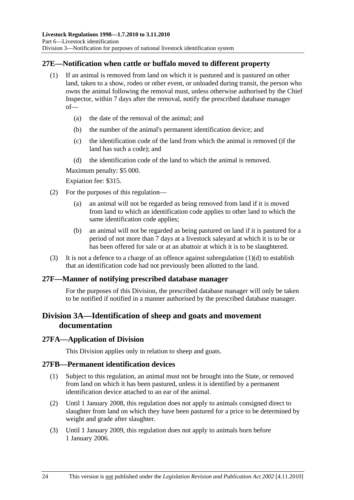## <span id="page-23-0"></span>**27E—Notification when cattle or buffalo moved to different property**

- (1) If an animal is removed from land on which it is pastured and is pastured on other land, taken to a show, rodeo or other event, or unloaded during transit, the person who owns the animal following the removal must, unless otherwise authorised by the Chief Inspector, within 7 days after the removal, notify the prescribed database manager of—
	- (a) the date of the removal of the animal; and
	- (b) the number of the animal's permanent identification device; and
	- (c) the identification code of the land from which the animal is removed (if the land has such a code); and
	- (d) the identification code of the land to which the animal is removed.

Maximum penalty: \$5 000.

Expiation fee: \$315.

- (2) For the purposes of this regulation—
	- (a) an animal will not be regarded as being removed from land if it is moved from land to which an identification code applies to other land to which the same identification code applies;
	- (b) an animal will not be regarded as being pastured on land if it is pastured for a period of not more than 7 days at a livestock saleyard at which it is to be or has been offered for sale or at an abattoir at which it is to be slaughtered.
- (3) It is not a defence to a charge of an offence against subregulation  $(1)(d)$  to establish that an identification code had not previously been allotted to the land.

#### **27F—Manner of notifying prescribed database manager**

For the purposes of this Division, the prescribed database manager will only be taken to be notified if notified in a manner authorised by the prescribed database manager.

## **Division 3A—Identification of sheep and goats and movement documentation**

#### **27FA—Application of Division**

This Division applies only in relation to sheep and goats.

## **27FB—Permanent identification devices**

- (1) Subject to this regulation, an animal must not be brought into the State, or removed from land on which it has been pastured, unless it is identified by a permanent identification device attached to an ear of the animal.
- (2) Until 1 January 2008, this regulation does not apply to animals consigned direct to slaughter from land on which they have been pastured for a price to be determined by weight and grade after slaughter.
- (3) Until 1 January 2009, this regulation does not apply to animals born before 1 January 2006.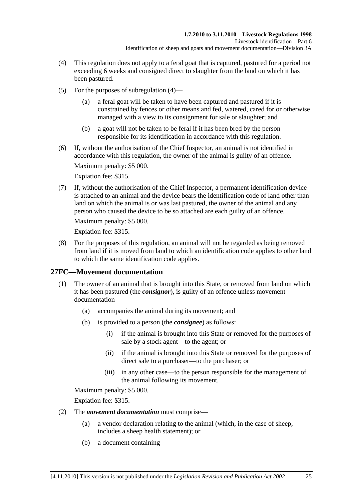- <span id="page-24-0"></span> (4) This regulation does not apply to a feral goat that is captured, pastured for a period not exceeding 6 weeks and consigned direct to slaughter from the land on which it has been pastured.
- (5) For the purposes of [subregulation \(4\)](#page-24-0)
	- a feral goat will be taken to have been captured and pastured if it is constrained by fences or other means and fed, watered, cared for or otherwise managed with a view to its consignment for sale or slaughter; and
	- (b) a goat will not be taken to be feral if it has been bred by the person responsible for its identification in accordance with this regulation.
- (6) If, without the authorisation of the Chief Inspector, an animal is not identified in accordance with this regulation, the owner of the animal is guilty of an offence.

Expiation fee: \$315.

 (7) If, without the authorisation of the Chief Inspector, a permanent identification device is attached to an animal and the device bears the identification code of land other than land on which the animal is or was last pastured, the owner of the animal and any person who caused the device to be so attached are each guilty of an offence.

Maximum penalty: \$5 000.

Expiation fee: \$315.

 (8) For the purposes of this regulation, an animal will not be regarded as being removed from land if it is moved from land to which an identification code applies to other land to which the same identification code applies.

## **27FC—Movement documentation**

- (1) The owner of an animal that is brought into this State, or removed from land on which it has been pastured (the *consignor*), is guilty of an offence unless movement documentation—
	- (a) accompanies the animal during its movement; and
	- (b) is provided to a person (the *consignee*) as follows:
		- (i) if the animal is brought into this State or removed for the purposes of sale by a stock agent—to the agent; or
		- (ii) if the animal is brought into this State or removed for the purposes of direct sale to a purchaser—to the purchaser; or
		- (iii) in any other case—to the person responsible for the management of the animal following its movement.

Maximum penalty: \$5 000.

Expiation fee: \$315.

- (2) The *movement documentation* must comprise—
	- (a) a vendor declaration relating to the animal (which, in the case of sheep, includes a sheep health statement); or
	- (b) a document containing—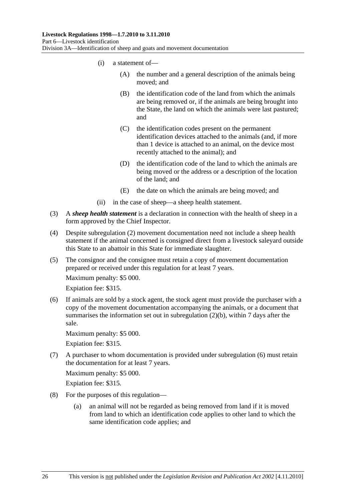- <span id="page-25-0"></span> (i) a statement of—
	- (A) the number and a general description of the animals being moved; and
	- (B) the identification code of the land from which the animals are being removed or, if the animals are being brought into the State, the land on which the animals were last pastured; and
	- (C) the identification codes present on the permanent identification devices attached to the animals (and, if more than 1 device is attached to an animal, on the device most recently attached to the animal); and
	- (D) the identification code of the land to which the animals are being moved or the address or a description of the location of the land; and
	- (E) the date on which the animals are being moved; and
- (ii) in the case of sheep—a sheep health statement.
- (3) A *sheep health statement* is a declaration in connection with the health of sheep in a form approved by the Chief Inspector.
- (4) Despite [subregulation \(2\)](#page-24-0) movement documentation need not include a sheep health statement if the animal concerned is consigned direct from a livestock saleyard outside this State to an abattoir in this State for immediate slaughter.
- (5) The consignor and the consignee must retain a copy of movement documentation prepared or received under this regulation for at least 7 years.

Expiation fee: \$315.

 (6) If animals are sold by a stock agent, the stock agent must provide the purchaser with a copy of the movement documentation accompanying the animals, or a document that summarises the information set out in [subregulation \(2\)\(b\)](#page-24-0), within 7 days after the sale.

Maximum penalty: \$5 000.

Expiation fee: \$315.

 (7) A purchaser to whom documentation is provided under [subregulation \(6\)](#page-25-0) must retain the documentation for at least 7 years.

Maximum penalty: \$5 000.

Expiation fee: \$315.

- (8) For the purposes of this regulation—
	- (a) an animal will not be regarded as being removed from land if it is moved from land to which an identification code applies to other land to which the same identification code applies; and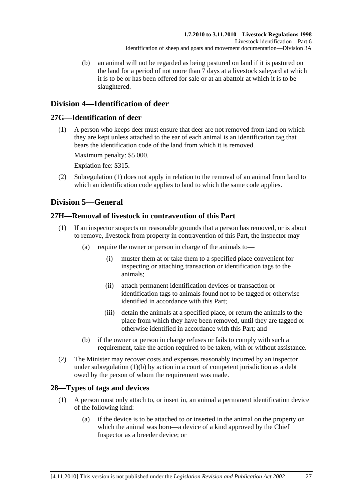<span id="page-26-0"></span> (b) an animal will not be regarded as being pastured on land if it is pastured on the land for a period of not more than 7 days at a livestock saleyard at which it is to be or has been offered for sale or at an abattoir at which it is to be slaughtered.

## **Division 4—Identification of deer**

## **27G—Identification of deer**

 (1) A person who keeps deer must ensure that deer are not removed from land on which they are kept unless attached to the ear of each animal is an identification tag that bears the identification code of the land from which it is removed.

Maximum penalty: \$5 000.

Expiation fee: \$315.

 (2) [Subregulation \(1\)](#page-26-0) does not apply in relation to the removal of an animal from land to which an identification code applies to land to which the same code applies.

# **Division 5—General**

## **27H—Removal of livestock in contravention of this Part**

- (1) If an inspector suspects on reasonable grounds that a person has removed, or is about to remove, livestock from property in contravention of this Part, the inspector may—
	- (a) require the owner or person in charge of the animals to—
		- (i) muster them at or take them to a specified place convenient for inspecting or attaching transaction or identification tags to the animals;
		- (ii) attach permanent identification devices or transaction or identification tags to animals found not to be tagged or otherwise identified in accordance with this Part;
		- (iii) detain the animals at a specified place, or return the animals to the place from which they have been removed, until they are tagged or otherwise identified in accordance with this Part; and
	- (b) if the owner or person in charge refuses or fails to comply with such a requirement, take the action required to be taken, with or without assistance.
- (2) The Minister may recover costs and expenses reasonably incurred by an inspector under [subregulation \(1\)\(b\)](#page-26-0) by action in a court of competent jurisdiction as a debt owed by the person of whom the requirement was made.

## **28—Types of tags and devices**

- (1) A person must only attach to, or insert in, an animal a permanent identification device of the following kind:
	- (a) if the device is to be attached to or inserted in the animal on the property on which the animal was born—a device of a kind approved by the Chief Inspector as a breeder device; or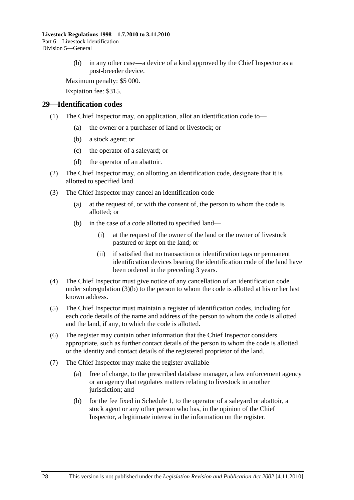<span id="page-27-0"></span> (b) in any other case—a device of a kind approved by the Chief Inspector as a post-breeder device.

Maximum penalty: \$5 000.

Expiation fee: \$315.

### **29—Identification codes**

- (1) The Chief Inspector may, on application, allot an identification code to—
	- (a) the owner or a purchaser of land or livestock; or
	- (b) a stock agent; or
	- (c) the operator of a saleyard; or
	- (d) the operator of an abattoir.
- (2) The Chief Inspector may, on allotting an identification code, designate that it is allotted to specified land.
- (3) The Chief Inspector may cancel an identification code—
	- (a) at the request of, or with the consent of, the person to whom the code is allotted; or
	- (b) in the case of a code allotted to specified land—
		- (i) at the request of the owner of the land or the owner of livestock pastured or kept on the land; or
		- (ii) if satisfied that no transaction or identification tags or permanent identification devices bearing the identification code of the land have been ordered in the preceding 3 years.
- (4) The Chief Inspector must give notice of any cancellation of an identification code under subregulation  $(3)(b)$  to the person to whom the code is allotted at his or her last known address.
- (5) The Chief Inspector must maintain a register of identification codes, including for each code details of the name and address of the person to whom the code is allotted and the land, if any, to which the code is allotted.
- (6) The register may contain other information that the Chief Inspector considers appropriate, such as further contact details of the person to whom the code is allotted or the identity and contact details of the registered proprietor of the land.
- (7) The Chief Inspector may make the register available—
	- (a) free of charge, to the prescribed database manager, a law enforcement agency or an agency that regulates matters relating to livestock in another jurisdiction; and
	- (b) for the fee fixed in [Schedule 1,](#page-35-0) to the operator of a saleyard or abattoir, a stock agent or any other person who has, in the opinion of the Chief Inspector, a legitimate interest in the information on the register.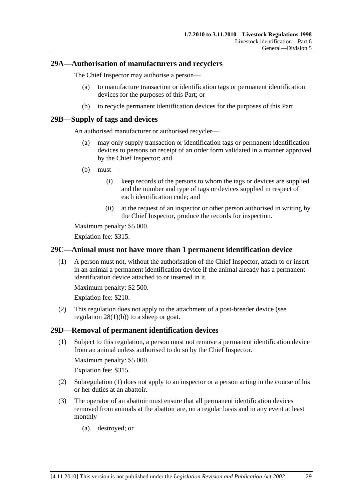## <span id="page-28-0"></span>**29A—Authorisation of manufacturers and recyclers**

The Chief Inspector may authorise a person—

- (a) to manufacture transaction or identification tags or permanent identification devices for the purposes of this Part; or
- (b) to recycle permanent identification devices for the purposes of this Part.

## **29B—Supply of tags and devices**

An authorised manufacturer or authorised recycler—

- (a) may only supply transaction or identification tags or permanent identification devices to persons on receipt of an order form validated in a manner approved by the Chief Inspector; and
- (b) must—
	- (i) keep records of the persons to whom the tags or devices are supplied and the number and type of tags or devices supplied in respect of each identification code; and
	- (ii) at the request of an inspector or other person authorised in writing by the Chief Inspector, produce the records for inspection.

Maximum penalty: \$5 000.

Expiation fee: \$315.

## **29C—Animal must not have more than 1 permanent identification device**

 (1) A person must not, without the authorisation of the Chief Inspector, attach to or insert in an animal a permanent identification device if the animal already has a permanent identification device attached to or inserted in it.

Maximum penalty: \$2 500.

Expiation fee: \$210.

 (2) This regulation does not apply to the attachment of a post-breeder device (see regulation  $28(1)(b)$  to a sheep or goat.

#### **29D—Removal of permanent identification devices**

 (1) Subject to this regulation, a person must not remove a permanent identification device from an animal unless authorised to do so by the Chief Inspector.

Maximum penalty: \$5 000.

Expiation fee: \$315.

- (2) [Subregulation \(1\)](#page-28-0) does not apply to an inspector or a person acting in the course of his or her duties at an abattoir.
- (3) The operator of an abattoir must ensure that all permanent identification devices removed from animals at the abattoir are, on a regular basis and in any event at least monthly—
	- (a) destroyed; or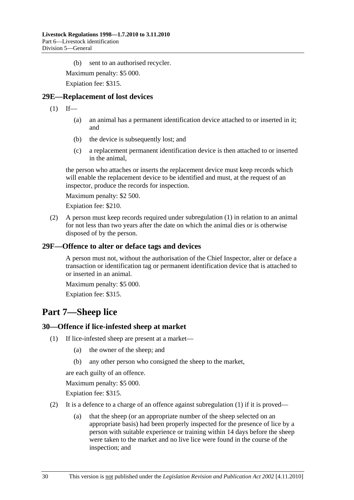<span id="page-29-0"></span>(b) sent to an authorised recycler.

Maximum penalty: \$5 000.

Expiation fee: \$315.

## **29E—Replacement of lost devices**

 $(1)$  If—

- (a) an animal has a permanent identification device attached to or inserted in it; and
- (b) the device is subsequently lost; and
- (c) a replacement permanent identification device is then attached to or inserted in the animal,

the person who attaches or inserts the replacement device must keep records which will enable the replacement device to be identified and must, at the request of an inspector, produce the records for inspection.

Maximum penalty: \$2 500.

Expiation fee: \$210.

 (2) A person must keep records required under [subregulation \(1\)](#page-29-0) in relation to an animal for not less than two years after the date on which the animal dies or is otherwise disposed of by the person.

## **29F—Offence to alter or deface tags and devices**

A person must not, without the authorisation of the Chief Inspector, alter or deface a transaction or identification tag or permanent identification device that is attached to or inserted in an animal.

Maximum penalty: \$5 000.

Expiation fee: \$315.

# **Part 7—Sheep lice**

#### **30—Offence if lice-infested sheep at market**

- (1) If lice-infested sheep are present at a market—
	- (a) the owner of the sheep; and
	- (b) any other person who consigned the sheep to the market,

are each guilty of an offence.

Maximum penalty: \$5 000.

Expiation fee: \$315.

- (2) It is a defence to a charge of an offence against subregulation  $(1)$  if it is proved—
	- (a) that the sheep (or an appropriate number of the sheep selected on an appropriate basis) had been properly inspected for the presence of lice by a person with suitable experience or training within 14 days before the sheep were taken to the market and no live lice were found in the course of the inspection; and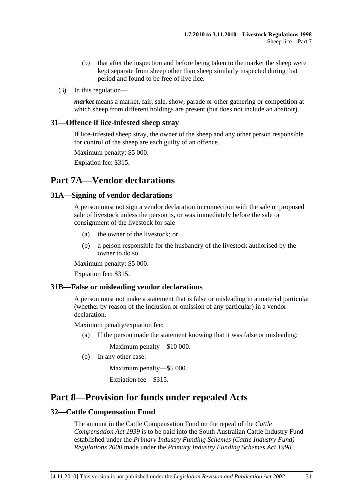- <span id="page-30-0"></span> (b) that after the inspection and before being taken to the market the sheep were kept separate from sheep other than sheep similarly inspected during that period and found to be free of live lice.
- (3) In this regulation—

*market* means a market, fair, sale, show, parade or other gathering or competition at which sheep from different holdings are present (but does not include an abattoir).

## **31—Offence if lice-infested sheep stray**

If lice-infested sheep stray, the owner of the sheep and any other person responsible for control of the sheep are each guilty of an offence.

Maximum penalty: \$5 000.

Expiation fee: \$315.

# **Part 7A—Vendor declarations**

## **31A—Signing of vendor declarations**

A person must not sign a vendor declaration in connection with the sale or proposed sale of livestock unless the person is, or was immediately before the sale or consignment of the livestock for sale—

- (a) the owner of the livestock; or
- (b) a person responsible for the husbandry of the livestock authorised by the owner to do so.

Maximum penalty: \$5 000.

Expiation fee: \$315.

## **31B—False or misleading vendor declarations**

A person must not make a statement that is false or misleading in a material particular (whether by reason of the inclusion or omission of any particular) in a vendor declaration.

Maximum penalty/expiation fee:

(a) If the person made the statement knowing that it was false or misleading:

Maximum penalty—\$10 000.

(b) In any other case:

Maximum penalty—\$5 000.

Expiation fee—\$315.

# **Part 8—Provision for funds under repealed Acts**

## **32—Cattle Compensation Fund**

The amount in the Cattle Compensation Fund on the repeal of the *[Cattle](http://www.legislation.sa.gov.au/index.aspx?action=legref&type=act&legtitle=Cattle%20Compensation%20Act%201939)  [Compensation Act 1939](http://www.legislation.sa.gov.au/index.aspx?action=legref&type=act&legtitle=Cattle%20Compensation%20Act%201939)* is to be paid into the South Australian Cattle Industry Fund established under the *[Primary Industry Funding Schemes \(Cattle Industry Fund\)](http://www.legislation.sa.gov.au/index.aspx?action=legref&type=subordleg&legtitle=Primary%20Industry%20Funding%20Schemes%20(Cattle%20Industry%20Fund)%20Regulations%202000)  [Regulations 2000](http://www.legislation.sa.gov.au/index.aspx?action=legref&type=subordleg&legtitle=Primary%20Industry%20Funding%20Schemes%20(Cattle%20Industry%20Fund)%20Regulations%202000)* made under the *[Primary Industry Funding Schemes Act 1998](http://www.legislation.sa.gov.au/index.aspx?action=legref&type=act&legtitle=Primary%20Industry%20Funding%20Schemes%20Act%201998)*.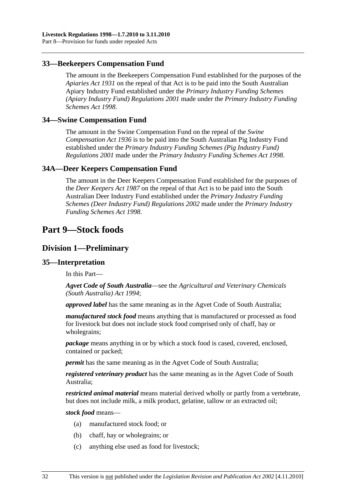## <span id="page-31-0"></span>**33—Beekeepers Compensation Fund**

The amount in the Beekeepers Compensation Fund established for the purposes of the *[Apiaries Act 1931](http://www.legislation.sa.gov.au/index.aspx?action=legref&type=act&legtitle=Apiaries%20Act%201931)* on the repeal of that Act is to be paid into the South Australian Apiary Industry Fund established under the *[Primary Industry Funding Schemes](http://www.legislation.sa.gov.au/index.aspx?action=legref&type=subordleg&legtitle=Primary%20Industry%20Funding%20Schemes%20(Apiary%20Industry%20Fund)%20Regulations%202001)  [\(Apiary Industry Fund\) Regulations 2001](http://www.legislation.sa.gov.au/index.aspx?action=legref&type=subordleg&legtitle=Primary%20Industry%20Funding%20Schemes%20(Apiary%20Industry%20Fund)%20Regulations%202001)* made under the *[Primary Industry Funding](http://www.legislation.sa.gov.au/index.aspx?action=legref&type=act&legtitle=Primary%20Industry%20Funding%20Schemes%20Act%201998)  [Schemes Act 1998](http://www.legislation.sa.gov.au/index.aspx?action=legref&type=act&legtitle=Primary%20Industry%20Funding%20Schemes%20Act%201998)*.

#### **34—Swine Compensation Fund**

The amount in the Swine Compensation Fund on the repeal of the *[Swine](http://www.legislation.sa.gov.au/index.aspx?action=legref&type=act&legtitle=Swine%20Compensation%20Act%201936)  [Compensation Act 1936](http://www.legislation.sa.gov.au/index.aspx?action=legref&type=act&legtitle=Swine%20Compensation%20Act%201936)* is to be paid into the South Australian Pig Industry Fund established under the *[Primary Industry Funding Schemes \(Pig Industry Fund\)](http://www.legislation.sa.gov.au/index.aspx?action=legref&type=subordleg&legtitle=Primary%20Industry%20Funding%20Schemes%20(Pig%20Industry%20Fund)%20Regulations%202001)  [Regulations 2001](http://www.legislation.sa.gov.au/index.aspx?action=legref&type=subordleg&legtitle=Primary%20Industry%20Funding%20Schemes%20(Pig%20Industry%20Fund)%20Regulations%202001)* made under the *[Primary Industry Funding Schemes Act 1998](http://www.legislation.sa.gov.au/index.aspx?action=legref&type=act&legtitle=Primary%20Industry%20Funding%20Schemes%20Act%201998)*.

### **34A—Deer Keepers Compensation Fund**

The amount in the Deer Keepers Compensation Fund established for the purposes of the *[Deer Keepers Act 1987](http://www.legislation.sa.gov.au/index.aspx?action=legref&type=act&legtitle=Deer%20Keepers%20Act%201987)* on the repeal of that Act is to be paid into the South Australian Deer Industry Fund established under the *[Primary Industry Funding](http://www.legislation.sa.gov.au/index.aspx?action=legref&type=subordleg&legtitle=Primary%20Industry%20Funding%20Schemes%20(Deer%20Industry%20Fund)%20Regulations%202002)  [Schemes \(Deer Industry Fund\) Regulations 2002](http://www.legislation.sa.gov.au/index.aspx?action=legref&type=subordleg&legtitle=Primary%20Industry%20Funding%20Schemes%20(Deer%20Industry%20Fund)%20Regulations%202002)* made under the *[Primary Industry](http://www.legislation.sa.gov.au/index.aspx?action=legref&type=act&legtitle=Primary%20Industry%20Funding%20Schemes%20Act%201998)  [Funding Schemes Act 1998](http://www.legislation.sa.gov.au/index.aspx?action=legref&type=act&legtitle=Primary%20Industry%20Funding%20Schemes%20Act%201998)*.

## **Part 9—Stock foods**

## **Division 1—Preliminary**

#### **35—Interpretation**

In this Part—

*Agvet Code of South Australia*—see the *[Agricultural and Veterinary Chemicals](http://www.legislation.sa.gov.au/index.aspx?action=legref&type=act&legtitle=Agricultural%20and%20Veterinary%20Chemicals%20(South%20Australia)%20Act%201994)  [\(South Australia\) Act 1994](http://www.legislation.sa.gov.au/index.aspx?action=legref&type=act&legtitle=Agricultural%20and%20Veterinary%20Chemicals%20(South%20Australia)%20Act%201994)*;

*approved label* has the same meaning as in the Agvet Code of South Australia;

*manufactured stock food* means anything that is manufactured or processed as food for livestock but does not include stock food comprised only of chaff, hay or wholegrains;

*package* means anything in or by which a stock food is cased, covered, enclosed, contained or packed;

*permit* has the same meaning as in the Agvet Code of South Australia;

*registered veterinary product* has the same meaning as in the Agvet Code of South Australia;

*restricted animal material* means material derived wholly or partly from a vertebrate, but does not include milk, a milk product, gelatine, tallow or an extracted oil;

*stock food* means—

- (a) manufactured stock food; or
- (b) chaff, hay or wholegrains; or
- (c) anything else used as food for livestock;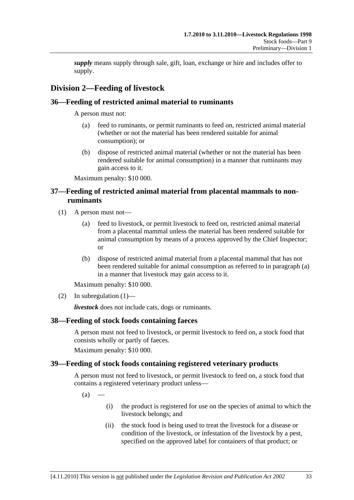<span id="page-32-0"></span>*supply* means supply through sale, gift, loan, exchange or hire and includes offer to supply.

## **Division 2—Feeding of livestock**

## **36—Feeding of restricted animal material to ruminants**

A person must not:

- (a) feed to ruminants, or permit ruminants to feed on, restricted animal material (whether or not the material has been rendered suitable for animal consumption); or
- (b) dispose of restricted animal material (whether or not the material has been rendered suitable for animal consumption) in a manner that ruminants may gain access to it.

Maximum penalty: \$10 000.

## **37—Feeding of restricted animal material from placental mammals to nonruminants**

- (1) A person must not—
	- (a) feed to livestock, or permit livestock to feed on, restricted animal material from a placental mammal unless the material has been rendered suitable for animal consumption by means of a process approved by the Chief Inspector; or
	- (b) dispose of restricted animal material from a placental mammal that has not been rendered suitable for animal consumption as referred to in [paragraph \(a\)](#page-32-0) in a manner that livestock may gain access to it.

Maximum penalty: \$10 000.

(2) In subregulation  $(1)$ —

*livestock* does not include cats, dogs or ruminants.

## **38—Feeding of stock foods containing faeces**

A person must not feed to livestock, or permit livestock to feed on, a stock food that consists wholly or partly of faeces.

Maximum penalty: \$10 000.

## **39—Feeding of stock foods containing registered veterinary products**

A person must not feed to livestock, or permit livestock to feed on, a stock food that contains a registered veterinary product unless—

 $(a)$ 

- (i) the product is registered for use on the species of animal to which the livestock belongs; and
- (ii) the stock food is being used to treat the livestock for a disease or condition of the livestock, or infestation of the livestock by a pest, specified on the approved label for containers of that product; or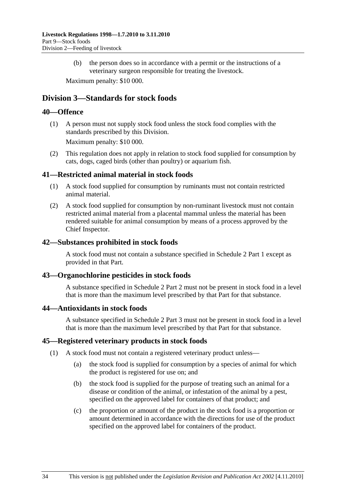<span id="page-33-0"></span> (b) the person does so in accordance with a permit or the instructions of a veterinary surgeon responsible for treating the livestock.

Maximum penalty: \$10 000.

## **Division 3—Standards for stock foods**

## **40—Offence**

 (1) A person must not supply stock food unless the stock food complies with the standards prescribed by this Division.

Maximum penalty: \$10 000.

 (2) This regulation does not apply in relation to stock food supplied for consumption by cats, dogs, caged birds (other than poultry) or aquarium fish.

## **41—Restricted animal material in stock foods**

- (1) A stock food supplied for consumption by ruminants must not contain restricted animal material.
- (2) A stock food supplied for consumption by non-ruminant livestock must not contain restricted animal material from a placental mammal unless the material has been rendered suitable for animal consumption by means of a process approved by the Chief Inspector.

#### **42—Substances prohibited in stock foods**

A stock food must not contain a substance specified in [Schedule 2 Part 1](#page-0-0) except as provided in that Part.

## **43—Organochlorine pesticides in stock foods**

A substance specified in [Schedule 2 Part 2](#page-0-0) must not be present in stock food in a level that is more than the maximum level prescribed by that Part for that substance.

#### **44—Antioxidants in stock foods**

A substance specified in [Schedule 2 Part 3](#page-0-0) must not be present in stock food in a level that is more than the maximum level prescribed by that Part for that substance.

#### **45—Registered veterinary products in stock foods**

- (1) A stock food must not contain a registered veterinary product unless—
	- (a) the stock food is supplied for consumption by a species of animal for which the product is registered for use on; and
	- (b) the stock food is supplied for the purpose of treating such an animal for a disease or condition of the animal, or infestation of the animal by a pest, specified on the approved label for containers of that product; and
	- (c) the proportion or amount of the product in the stock food is a proportion or amount determined in accordance with the directions for use of the product specified on the approved label for containers of the product.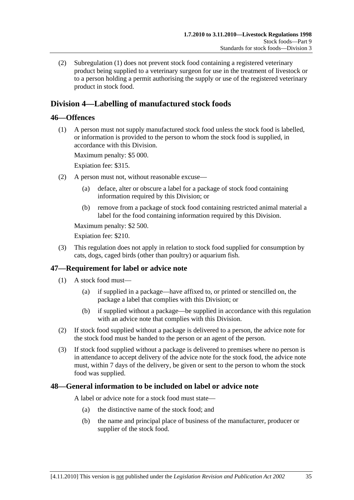<span id="page-34-0"></span> (2) [Subregulation \(1\)](#page-33-0) does not prevent stock food containing a registered veterinary product being supplied to a veterinary surgeon for use in the treatment of livestock or to a person holding a permit authorising the supply or use of the registered veterinary product in stock food.

## **Division 4—Labelling of manufactured stock foods**

## **46—Offences**

 (1) A person must not supply manufactured stock food unless the stock food is labelled, or information is provided to the person to whom the stock food is supplied, in accordance with this Division.

Maximum penalty: \$5 000.

Expiation fee: \$315.

- (2) A person must not, without reasonable excuse—
	- (a) deface, alter or obscure a label for a package of stock food containing information required by this Division; or
	- (b) remove from a package of stock food containing restricted animal material a label for the food containing information required by this Division.

Maximum penalty: \$2 500.

Expiation fee: \$210.

 (3) This regulation does not apply in relation to stock food supplied for consumption by cats, dogs, caged birds (other than poultry) or aquarium fish.

## **47—Requirement for label or advice note**

- (1) A stock food must—
	- (a) if supplied in a package—have affixed to, or printed or stencilled on, the package a label that complies with this Division; or
	- (b) if supplied without a package—be supplied in accordance with this regulation with an advice note that complies with this Division.
- (2) If stock food supplied without a package is delivered to a person, the advice note for the stock food must be handed to the person or an agent of the person.
- (3) If stock food supplied without a package is delivered to premises where no person is in attendance to accept delivery of the advice note for the stock food, the advice note must, within 7 days of the delivery, be given or sent to the person to whom the stock food was supplied.

## **48—General information to be included on label or advice note**

A label or advice note for a stock food must state—

- (a) the distinctive name of the stock food; and
- (b) the name and principal place of business of the manufacturer, producer or supplier of the stock food.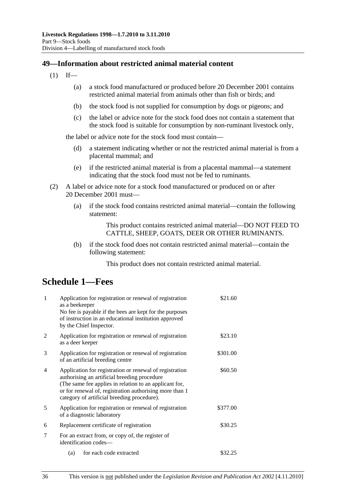## <span id="page-35-0"></span>**49—Information about restricted animal material content**

- $(1)$  If—
	- (a) a stock food manufactured or produced before 20 December 2001 contains restricted animal material from animals other than fish or birds; and
	- (b) the stock food is not supplied for consumption by dogs or pigeons; and
	- (c) the label or advice note for the stock food does not contain a statement that the stock food is suitable for consumption by non-ruminant livestock only,

the label or advice note for the stock food must contain—

- (d) a statement indicating whether or not the restricted animal material is from a placental mammal; and
- (e) if the restricted animal material is from a placental mammal—a statement indicating that the stock food must not be fed to ruminants.
- (2) A label or advice note for a stock food manufactured or produced on or after 20 December 2001 must—
	- (a) if the stock food contains restricted animal material—contain the following statement:

This product contains restricted animal material—DO NOT FEED TO CATTLE, SHEEP, GOATS, DEER OR OTHER RUMINANTS.

 (b) if the stock food does not contain restricted animal material—contain the following statement:

This product does not contain restricted animal material.

# **Schedule 1—Fees**

| 1 | Application for registration or renewal of registration<br>as a beekeeper<br>No fee is payable if the bees are kept for the purposes<br>of instruction in an educational institution approved<br>by the Chief Inspector.                                                               | \$21.60  |
|---|----------------------------------------------------------------------------------------------------------------------------------------------------------------------------------------------------------------------------------------------------------------------------------------|----------|
| 2 | Application for registration or renewal of registration<br>as a deer keeper                                                                                                                                                                                                            | \$23.10  |
| 3 | Application for registration or renewal of registration<br>of an artificial breeding centre                                                                                                                                                                                            | \$301.00 |
| 4 | \$60.50<br>Application for registration or renewal of registration<br>authorising an artificial breeding procedure<br>(The same fee applies in relation to an applicant for,<br>or for renewal of, registration authorising more than 1<br>category of artificial breeding procedure). |          |
| 5 | Application for registration or renewal of registration<br>of a diagnostic laboratory                                                                                                                                                                                                  | \$377.00 |
| 6 | Replacement certificate of registration                                                                                                                                                                                                                                                | \$30.25  |
| 7 | For an extract from, or copy of, the register of<br>identification codes—                                                                                                                                                                                                              |          |
|   | for each code extracted<br>(a)                                                                                                                                                                                                                                                         | \$32.25  |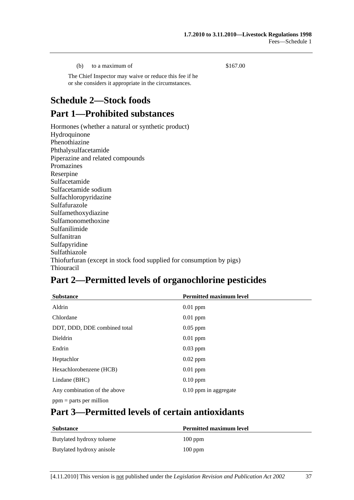<span id="page-36-0"></span>(b) to a maximum of  $$167.00$ 

 The Chief Inspector may waive or reduce this fee if he or she considers it appropriate in the circumstances.

# **Schedule 2—Stock foods**

# **Part 1—Prohibited substances**

Hormones (whether a natural or synthetic product) Hydroquinone Phenothiazine Phthalysulfacetamide Piperazine and related compounds Promazines Reserpine Sulfacetamide Sulfacetamide sodium Sulfachloropyridazine Sulfafurazole Sulfamethoxydiazine Sulfamonomethoxine Sulfanilimide Sulfanitran Sulfapyridine Sulfathiazole Thiofurfuran (except in stock food supplied for consumption by pigs) Thiouracil

# **Part 2—Permitted levels of organochlorine pesticides**

| <b>Substance</b>             | <b>Permitted maximum level</b> |
|------------------------------|--------------------------------|
| Aldrin                       | $0.01$ ppm                     |
| Chlordane                    | $0.01$ ppm                     |
| DDT, DDD, DDE combined total | $0.05$ ppm                     |
| Dieldrin                     | $0.01$ ppm                     |
| Endrin                       | $0.03$ ppm                     |
| Heptachlor                   | $0.02$ ppm                     |
| Hexachlorobenzene (HCB)      | $0.01$ ppm                     |
| Lindane (BHC)                | $0.10$ ppm                     |
| Any combination of the above | 0.10 ppm in aggregate          |
| $ppm =$ parts per million    |                                |

# **Part 3—Permitted levels of certain antioxidants**

| <b>Substance</b>          | <b>Permitted maximum level</b> |
|---------------------------|--------------------------------|
| Butylated hydroxy toluene | $100$ ppm                      |
| Butylated hydroxy anisole | $100$ ppm                      |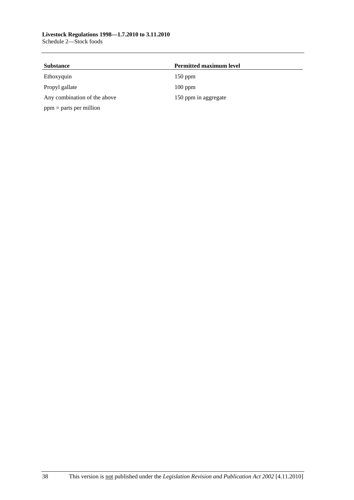## **Livestock Regulations 1998—1.7.2010 to 3.11.2010**

Schedule 2—Stock foods

| <b>Substance</b>             | <b>Permitted maximum level</b> |
|------------------------------|--------------------------------|
| Ethoxyquin                   | $150$ ppm                      |
| Propyl gallate               | $100$ ppm                      |
| Any combination of the above | 150 ppm in aggregate           |
| $ppm =$ parts per million    |                                |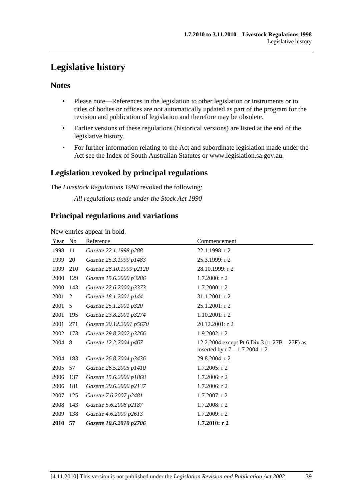# <span id="page-38-0"></span>**Legislative history**

## **Notes**

- Please note—References in the legislation to other legislation or instruments or to titles of bodies or offices are not automatically updated as part of the program for the revision and publication of legislation and therefore may be obsolete.
- Earlier versions of these regulations (historical versions) are listed at the end of the legislative history.
- For further information relating to the Act and subordinate legislation made under the Act see the Index of South Australian Statutes or www.legislation.sa.gov.au.

## **Legislation revoked by principal regulations**

The *Livestock Regulations 1998* revoked the following:

*All regulations made under the Stock Act 1990*

## **Principal regulations and variations**

New entries appear in bold.

| Year | N <sub>0</sub> | Reference                | Commencement                                                                 |
|------|----------------|--------------------------|------------------------------------------------------------------------------|
| 1998 | 11             | Gazette 22.1.1998 p288   | $22.1.1998:$ r 2                                                             |
| 1999 | 20             | Gazette 25.3.1999 p1483  | 25.3.1999: r 2                                                               |
| 1999 | 210            | Gazette 28.10.1999 p2120 | 28.10.1999: r 2                                                              |
| 2000 | 129            | Gazette 15.6.2000 p3286  | 1.7.2000: r 2                                                                |
| 2000 | 143            | Gazette 22.6.2000 p3373  | $1.7.2000:$ r 2                                                              |
| 2001 | 2              | Gazette 18.1.2001 p144   | 31.1.2001: r 2                                                               |
| 2001 | 5              | Gazette 25.1.2001 p320   | 25.1.2001: r 2                                                               |
| 2001 | 195            | Gazette 23.8.2001 p3274  | $1.10.2001:$ r 2                                                             |
| 2001 | 271            | Gazette 20.12.2001 p5670 | 20.12.2001: r 2                                                              |
| 2002 | 173            | Gazette 29.8.2002 p3266  | 1.9.2002: r 2                                                                |
| 2004 | 8              | Gazette 12.2.2004 p467   | 12.2.2004 except Pt 6 Div 3 (rr 27B—27F) as<br>inserted by r 7-1.7.2004: r 2 |
| 2004 | 183            | Gazette 26.8.2004 p3436  | 29.8.2004: r 2                                                               |
| 2005 | 57             | Gazette 26.5.2005 p1410  | $1.7.2005:$ r 2                                                              |
| 2006 | 137            | Gazette 15.6.2006 p1868  | $1.7.2006$ : r 2                                                             |
| 2006 | 181            | Gazette 29.6.2006 p2137  | $1.7.2006$ : r 2                                                             |
| 2007 | 125            | Gazette 7.6.2007 p2481   | $1.7.2007:$ r 2                                                              |
| 2008 | 143            | Gazette 5.6.2008 p2187   | $1.7.2008:$ r 2                                                              |
| 2009 | 138            | Gazette 4.6.2009 p2613   | 1.7.2009: r2                                                                 |
| 2010 | 57             | Gazette 10.6.2010 p2706  | 1.7.2010: r2                                                                 |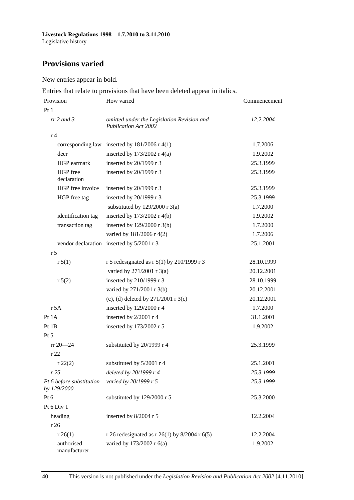## **Provisions varied**

New entries appear in bold.

Entries that relate to provisions that have been deleted appear in italics.

| Provision                               | How varied                                                                | Commencement |
|-----------------------------------------|---------------------------------------------------------------------------|--------------|
| Pt1                                     |                                                                           |              |
| $rr$ 2 and 3                            | omitted under the Legislation Revision and<br><b>Publication Act 2002</b> | 12.2.2004    |
| r <sub>4</sub>                          |                                                                           |              |
|                                         | corresponding law inserted by $181/2006$ r 4(1)                           | 1.7.2006     |
| deer                                    | inserted by $173/2002$ r 4(a)                                             | 1.9.2002     |
| HGP earmark                             | inserted by 20/1999 r 3                                                   | 25.3.1999    |
| HGP free<br>declaration                 | inserted by 20/1999 r 3                                                   | 25.3.1999    |
| HGP free invoice                        | inserted by 20/1999 r 3                                                   | 25.3.1999    |
| HGP free tag                            | inserted by 20/1999 r 3                                                   | 25.3.1999    |
|                                         | substituted by $129/2000$ r 3(a)                                          | 1.7.2000     |
| identification tag                      | inserted by $173/2002$ r 4(b)                                             | 1.9.2002     |
| transaction tag                         | inserted by 129/2000 r 3(b)                                               | 1.7.2000     |
|                                         | varied by 181/2006 r 4(2)                                                 | 1.7.2006     |
|                                         | vendor declaration inserted by 5/2001 r 3                                 | 25.1.2001    |
| r <sub>5</sub>                          |                                                                           |              |
| r 5(1)                                  | r 5 redesignated as r 5(1) by 210/1999 r 3                                | 28.10.1999   |
|                                         | varied by 271/2001 r 3(a)                                                 | 20.12.2001   |
| r 5(2)                                  | inserted by 210/1999 r 3                                                  | 28.10.1999   |
|                                         | varied by 271/2001 r 3(b)                                                 | 20.12.2001   |
|                                         | (c), (d) deleted by $271/2001$ r 3(c)                                     | 20.12.2001   |
| r 5A                                    | inserted by 129/2000 r 4                                                  | 1.7.2000     |
| Pt 1A                                   | inserted by 2/2001 r 4                                                    | 31.1.2001    |
| Pt 1B                                   | inserted by 173/2002 r 5                                                  | 1.9.2002     |
| Pt 5                                    |                                                                           |              |
| $rr 20 - 24$                            | substituted by 20/1999 r 4                                                | 25.3.1999    |
| r22                                     |                                                                           |              |
| r 22(2)                                 | substituted by 5/2001 r 4                                                 | 25.1.2001    |
| r25                                     | deleted by 20/1999 r 4                                                    | 25.3.1999    |
| Pt 6 before substitution<br>by 129/2000 | varied by 20/1999 r 5                                                     | 25.3.1999    |
| Pt 6                                    | substituted by 129/2000 r 5                                               | 25.3.2000    |
| Pt 6 Div 1                              |                                                                           |              |
| heading                                 | inserted by 8/2004 r 5                                                    | 12.2.2004    |
| r 26                                    |                                                                           |              |
| r 26(1)                                 | r 26 redesignated as r 26(1) by $8/2004$ r 6(5)                           | 12.2.2004    |
| authorised<br>manufacturer              | varied by 173/2002 r 6(a)                                                 | 1.9.2002     |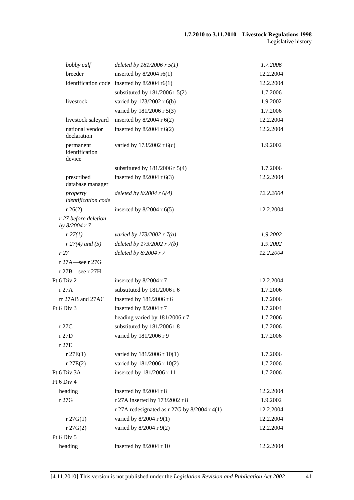| bobby calf                            | deleted by $181/2006$ r $5(1)$                 | 1.7.2006  |
|---------------------------------------|------------------------------------------------|-----------|
| breeder                               | inserted by $8/2004$ r6(1)                     | 12.2.2004 |
|                                       | identification code inserted by $8/2004$ r6(1) | 12.2.2004 |
|                                       | substituted by $181/2006$ r $5(2)$             | 1.7.2006  |
| livestock                             | varied by 173/2002 r 6(b)                      | 1.9.2002  |
|                                       | varied by 181/2006 r 5(3)                      | 1.7.2006  |
| livestock saleyard                    | inserted by $8/2004$ r $6(2)$                  | 12.2.2004 |
| national vendor<br>declaration        | inserted by $8/2004$ r $6(2)$                  | 12.2.2004 |
| permanent<br>identification<br>device | varied by 173/2002 r 6(c)                      | 1.9.2002  |
|                                       | substituted by $181/2006$ r 5(4)               | 1.7.2006  |
| prescribed<br>database manager        | inserted by $8/2004$ r $6(3)$                  | 12.2.2004 |
| property<br>identification code       | deleted by $8/2004$ r $6(4)$                   | 12.2.2004 |
| r 26(2)                               | inserted by $8/2004$ r $6(5)$                  | 12.2.2004 |
| r 27 before deletion<br>by 8/2004 r 7 |                                                |           |
| r 27(1)                               | varied by 173/2002 r $7(a)$                    | 1.9.2002  |
| $r 27(4)$ and (5)                     | deleted by $173/2002$ r $7(b)$                 | 1.9.2002  |
| r27                                   | deleted by 8/2004 r 7                          | 12.2.2004 |
| r 27A—see r 27G                       |                                                |           |
| $r 27B$ see r 27H                     |                                                |           |
| Pt 6 Div 2                            | inserted by 8/2004 r 7                         | 12.2.2004 |
| r27A                                  | substituted by 181/2006 r 6                    | 1.7.2006  |
| $rr$ 27AB and 27AC                    | inserted by 181/2006 r 6                       | 1.7.2006  |
| Pt 6 Div 3                            | inserted by 8/2004 r 7                         | 1.7.2004  |
|                                       | heading varied by 181/2006 r 7                 | 1.7.2006  |
| r 27C                                 | substituted by 181/2006 r 8                    | 1.7.2006  |
| r 27D                                 | varied by 181/2006 r 9                         | 1.7.2006  |
| r 27E                                 |                                                |           |
| r 27E(1)                              | varied by 181/2006 r 10(1)                     | 1.7.2006  |
| r 27E(2)                              | varied by 181/2006 r 10(2)                     | 1.7.2006  |
| Pt 6 Div 3A                           | inserted by 181/2006 r 11                      | 1.7.2006  |
| Pt 6 Div 4                            |                                                |           |
| heading                               | inserted by 8/2004 r 8                         | 12.2.2004 |
| r 27G                                 | r 27A inserted by 173/2002 r 8                 | 1.9.2002  |
|                                       | r 27A redesignated as r 27G by $8/2004$ r 4(1) | 12.2.2004 |
| $r \, 27G(1)$                         | varied by 8/2004 r 9(1)                        | 12.2.2004 |
| r 27G(2)                              | varied by 8/2004 r 9(2)                        | 12.2.2004 |
| Pt 6 Div 5                            |                                                |           |
| heading                               | inserted by 8/2004 r 10                        | 12.2.2004 |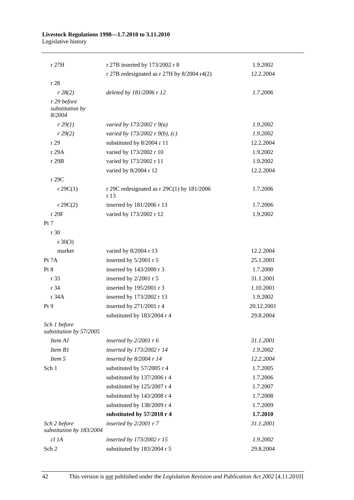#### **Livestock Regulations 1998—1.7.2010 to 3.11.2010**  Legislative history

| r 27H                                    | r 27B inserted by 173/2002 r 8                                  | 1.9.2002   |
|------------------------------------------|-----------------------------------------------------------------|------------|
|                                          | r 27B redesignated as $r$ 27H by 8/2004 r4(2)                   | 12.2.2004  |
| r 28                                     |                                                                 |            |
| r 28(2)                                  | deleted by 181/2006 r 12                                        | 1.7.2006   |
| r 29 before<br>substitution by<br>8/2004 |                                                                 |            |
| r 29(1)                                  | varied by 173/2002 r $9(a)$                                     | 1.9.2002   |
| r 29(2)                                  | varied by 173/2002 r 9(b), (c)                                  | 1.9.2002   |
| r29                                      | substituted by 8/2004 r 11                                      | 12.2.2004  |
| r 29A                                    | varied by 173/2002 r 10                                         | 1.9.2002   |
| r 29B                                    | varied by 173/2002 r 11                                         | 1.9.2002   |
|                                          | varied by 8/2004 r 12                                           | 12.2.2004  |
| r 29C                                    |                                                                 |            |
| $r \, 29C(1)$                            | r 29C redesignated as $r$ 29C(1) by 181/2006<br>r <sub>13</sub> | 1.7.2006   |
| $r \, 29C(2)$                            | inserted by 181/2006 r 13                                       | 1.7.2006   |
| r 29F                                    | varied by 173/2002 r 12                                         | 1.9.2002   |
| Pt 7                                     |                                                                 |            |
| r30                                      |                                                                 |            |
| $r \ 30(3)$                              |                                                                 |            |
| market                                   | varied by 8/2004 r 13                                           | 12.2.2004  |
| Pt 7A                                    | inserted by 5/2001 r 5                                          | 25.1.2001  |
| Pt 8                                     | inserted by 143/2000 r 3                                        | 1.7.2000   |
| r 33                                     | inserted by 2/2001 r 5                                          | 31.1.2001  |
| r 34                                     | inserted by 195/2001 r 3                                        | 1.10.2001  |
| r34A                                     | inserted by 173/2002 r 13                                       | 1.9.2002   |
| Pt 9                                     | inserted by 271/2001 r 4                                        | 20.12.2001 |
|                                          | substituted by 183/2004 r 4                                     | 29.8.2004  |
| Sch 1 before<br>substitution by 57/2005  |                                                                 |            |
| Item A1                                  | inserted by $2/2001$ r 6                                        | 31.1.2001  |
| Item B1                                  | inserted by 173/2002 r 14                                       | 1.9.2002   |
| Item 5                                   | inserted by $8/2004$ r 14                                       | 12.2.2004  |
| Sch 1                                    | substituted by 57/2005 r 4                                      | 1.7.2005   |
|                                          | substituted by 137/2006 r 4                                     | 1.7.2006   |
|                                          | substituted by 125/2007 r 4                                     | 1.7.2007   |
|                                          | substituted by 143/2008 r 4                                     | 1.7.2008   |
|                                          | substituted by 138/2009 r 4                                     | 1.7.2009   |
|                                          | substituted by 57/2010 r 4                                      | 1.7.2010   |
| Sch 2 before<br>substitution by 183/2004 | inserted by $2/2001$ r 7                                        | 31.1.2001  |
| cl 1A                                    | inserted by 173/2002 r 15                                       | 1.9.2002   |
| Sch 2                                    | substituted by 183/2004 r 5                                     | 29.8.2004  |